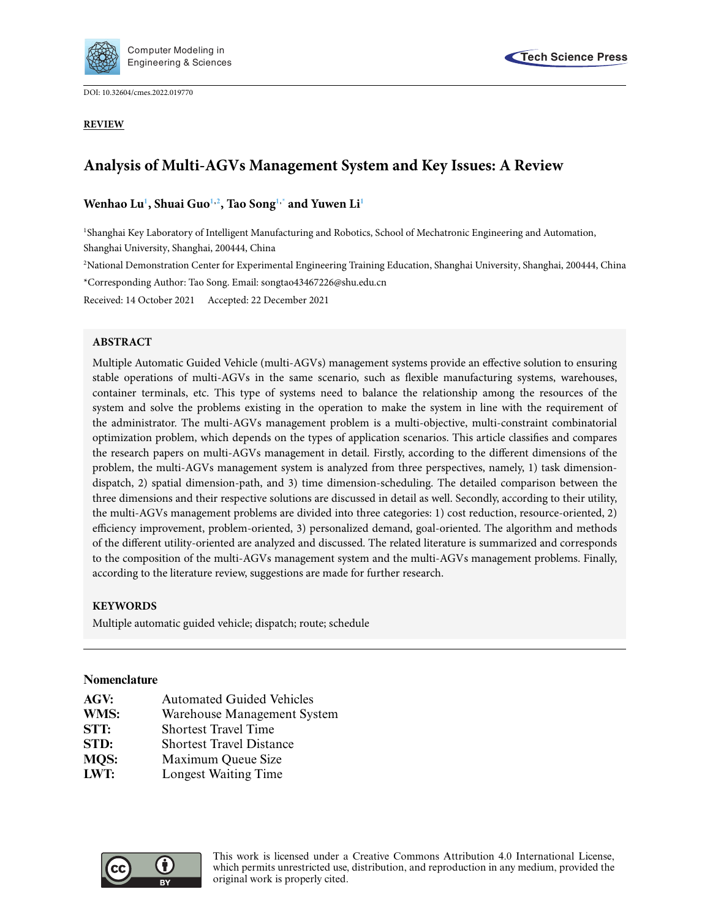

DOI: [10.32604/cmes.2022.019770](http://dx.doi.org/10.32604/cmes.2022.019770)

**REVIEW**



# **Analysis of Multi-AGVs Management System and Key Issues: A Review**

# **Wenhao Lu[1](#page-0-0) , Shuai Guo[1,](#page-0-0)[2](#page-0-1) , Tao Song[1,](#page-0-0)[\\*](#page-0-2) and Yuwen Li[1](#page-0-0)**

<span id="page-0-0"></span>1 Shanghai Key Laboratory of Intelligent Manufacturing and Robotics, School of Mechatronic Engineering and Automation, Shanghai University, Shanghai, 200444, China

2 National Demonstration Center for Experimental Engineering Training Education, Shanghai University, Shanghai, 200444, China

<span id="page-0-1"></span>\*Corresponding Author: Tao Song. Email: [songtao43467226@shu.edu.cn](mailto:songtao43467226@shu.edu.cn)

<span id="page-0-2"></span>Received: 14 October 2021 Accepted: 22 December 2021

# **ABSTRACT**

Multiple Automatic Guided Vehicle (multi-AGVs) management systems provide an effective solution to ensuring stable operations of multi-AGVs in the same scenario, such as flexible manufacturing systems, warehouses, container terminals, etc. This type of systems need to balance the relationship among the resources of the system and solve the problems existing in the operation to make the system in line with the requirement of the administrator. The multi-AGVs management problem is a multi-objective, multi-constraint combinatorial optimization problem, which depends on the types of application scenarios. This article classifies and compares the research papers on multi-AGVs management in detail. Firstly, according to the different dimensions of the problem, the multi-AGVs management system is analyzed from three perspectives, namely, 1) task dimensiondispatch, 2) spatial dimension-path, and 3) time dimension-scheduling. The detailed comparison between the three dimensions and their respective solutions are discussed in detail as well. Secondly, according to their utility, the multi-AGVs management problems are divided into three categories: 1) cost reduction, resource-oriented, 2) efficiency improvement, problem-oriented, 3) personalized demand, goal-oriented. The algorithm and methods of the different utility-oriented are analyzed and discussed. The related literature is summarized and corresponds to the composition of the multi-AGVs management system and the multi-AGVs management problems. Finally, according to the literature review, suggestions are made for further research.

# **KEYWORDS**

Multiple automatic guided vehicle; dispatch; route; schedule

# **Nomenclature**

| <b>Automated Guided Vehicles</b> |
|----------------------------------|
| Warehouse Management System      |
| <b>Shortest Travel Time</b>      |
| <b>Shortest Travel Distance</b>  |
| Maximum Queue Size               |
| Longest Waiting Time             |
|                                  |

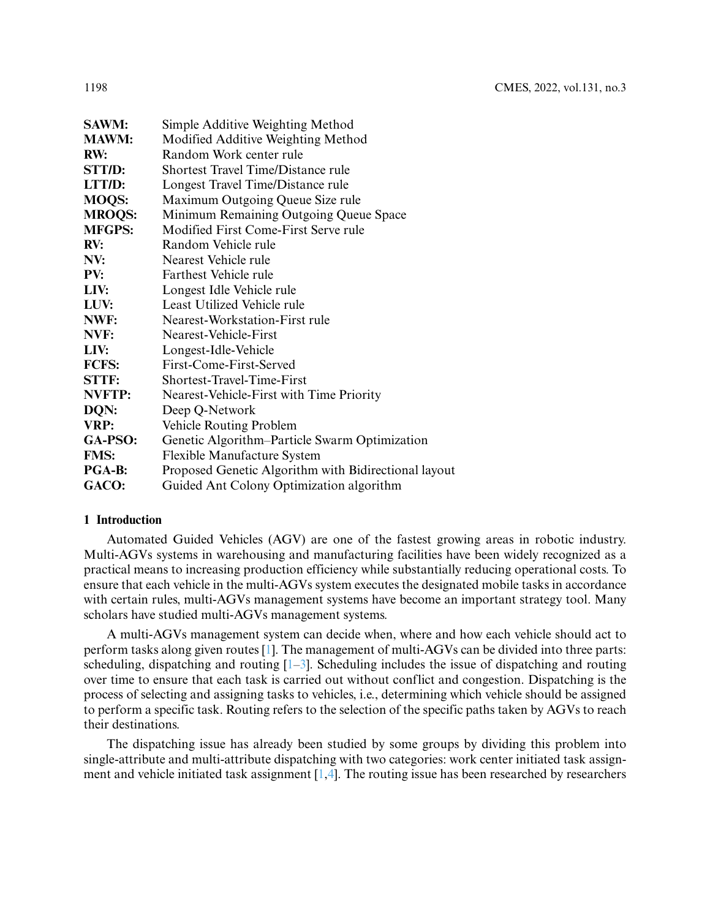| <b>SAWM:</b>  | Simple Additive Weighting Method                     |
|---------------|------------------------------------------------------|
| <b>MAWM:</b>  | Modified Additive Weighting Method                   |
| RW:           | Random Work center rule                              |
| STT/D:        | <b>Shortest Travel Time/Distance rule</b>            |
| LTT/D:        | Longest Travel Time/Distance rule                    |
| <b>MOQS:</b>  | Maximum Outgoing Queue Size rule                     |
| <b>MROQS:</b> | Minimum Remaining Outgoing Queue Space               |
| <b>MFGPS:</b> | Modified First Come-First Serve rule                 |
| RV:           | Random Vehicle rule                                  |
| NV:           | Nearest Vehicle rule                                 |
| PV:           | Farthest Vehicle rule                                |
| LIV:          | Longest Idle Vehicle rule                            |
| LUV:          | Least Utilized Vehicle rule                          |
| NWF:          | Nearest-Workstation-First rule                       |
| NVF:          | Nearest-Vehicle-First                                |
| LIV:          | Longest-Idle-Vehicle                                 |
| <b>FCFS:</b>  | First-Come-First-Served                              |
| <b>STTF:</b>  | Shortest-Travel-Time-First                           |
| <b>NVFTP:</b> | Nearest-Vehicle-First with Time Priority             |
| DQN:          | Deep Q-Network                                       |
| VRP:          | Vehicle Routing Problem                              |
| GA-PSO:       | Genetic Algorithm–Particle Swarm Optimization        |
| <b>FMS:</b>   | Flexible Manufacture System                          |
| PGA-B:        | Proposed Genetic Algorithm with Bidirectional layout |
| GACO:         | Guided Ant Colony Optimization algorithm             |

# **1 Introduction**

Automated Guided Vehicles (AGV) are one of the fastest growing areas in robotic industry. Multi-AGVs systems in warehousing and manufacturing facilities have been widely recognized as a practical means to increasing production efficiency while substantially reducing operational costs. To ensure that each vehicle in the multi-AGVs system executes the designated mobile tasks in accordance with certain rules, multi-AGVs management systems have become an important strategy tool. Many scholars have studied multi-AGVs management systems.

A multi-AGVs management system can decide when, where and how each vehicle should act to perform tasks along given routes [\[1\]](#page-23-0). The management of multi-AGVs can be divided into three parts: scheduling, dispatching and routing [\[1](#page-23-0)[–3\]](#page-23-1). Scheduling includes the issue of dispatching and routing over time to ensure that each task is carried out without conflict and congestion. Dispatching is the process of selecting and assigning tasks to vehicles, i.e., determining which vehicle should be assigned to perform a specific task. Routing refers to the selection of the specific paths taken by AGVs to reach their destinations.

The dispatching issue has already been studied by some groups by dividing this problem into single-attribute and multi-attribute dispatching with two categories: work center initiated task assignment and vehicle initiated task assignment [\[1,](#page-23-0)[4\]](#page-23-2). The routing issue has been researched by researchers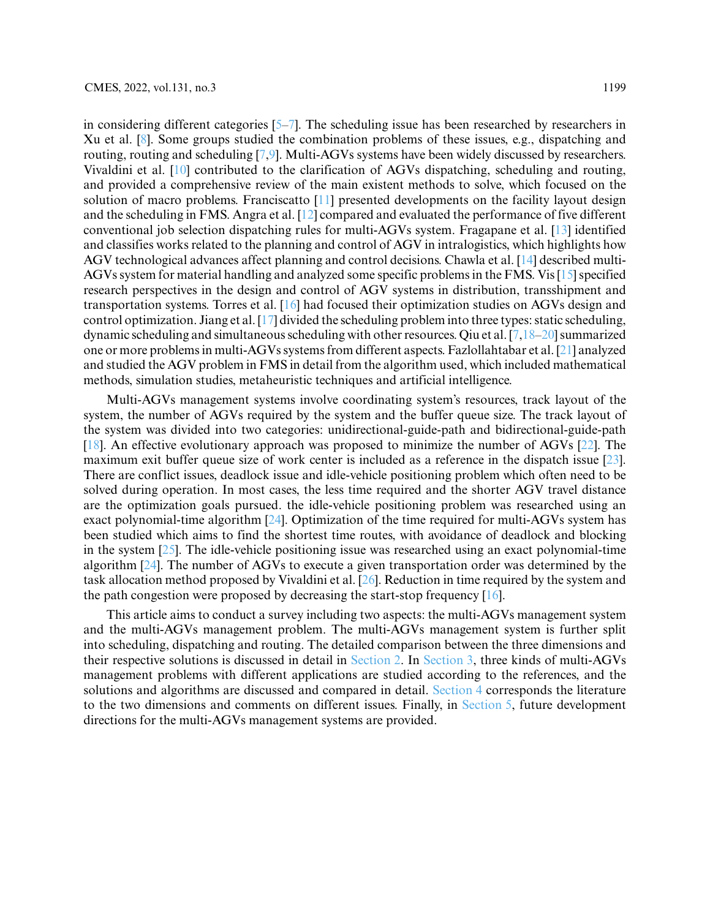in considering different categories [\[5–](#page-23-3)[7\]](#page-23-4). The scheduling issue has been researched by researchers in Xu et al. [\[8\]](#page-23-5). Some groups studied the combination problems of these issues, e.g., dispatching and routing, routing and scheduling [\[7,](#page-23-4)[9\]](#page-23-6). Multi-AGVs systems have been widely discussed by researchers. Vivaldini et al. [\[10\]](#page-23-7) contributed to the clarification of AGVs dispatching, scheduling and routing, and provided a comprehensive review of the main existent methods to solve, which focused on the solution of macro problems. Franciscatto [\[11\]](#page-23-8) presented developments on the facility layout design and the scheduling in FMS. Angra et al. [\[12\]](#page-23-9) compared and evaluated the performance of five different conventional job selection dispatching rules for multi-AGVs system. Fragapane et al. [\[13\]](#page-23-10) identified and classifies works related to the planning and control of AGV in intralogistics, which highlights how AGV technological advances affect planning and control decisions. Chawla et al. [\[14\]](#page-23-11) described multi-AGVs system for material handling and analyzed some specific problems in the FMS. Vis [\[15\]](#page-23-12) specified research perspectives in the design and control of AGV systems in distribution, transshipment and transportation systems. Torres et al. [\[16\]](#page-23-13) had focused their optimization studies on AGVs design and control optimization. Jiang et al. [\[17\]](#page-23-14) divided the scheduling problem into three types: static scheduling, dynamic scheduling and simultaneous scheduling with other resources. Qiu et al. [\[7](#page-23-4)[,18](#page-23-15)[–20\]](#page-24-0) summarized one or more problems in multi-AGVs systems from different aspects. Fazlollahtabar et al. [\[21\]](#page-24-1) analyzed and studied the AGV problem in FMS in detail from the algorithm used, which included mathematical methods, simulation studies, metaheuristic techniques and artificial intelligence.

Multi-AGVs management systems involve coordinating system's resources, track layout of the system, the number of AGVs required by the system and the buffer queue size. The track layout of the system was divided into two categories: unidirectional-guide-path and bidirectional-guide-path [\[18\]](#page-23-15). An effective evolutionary approach was proposed to minimize the number of AGVs [\[22\]](#page-24-2). The maximum exit buffer queue size of work center is included as a reference in the dispatch issue [\[23\]](#page-24-3). There are conflict issues, deadlock issue and idle-vehicle positioning problem which often need to be solved during operation. In most cases, the less time required and the shorter AGV travel distance are the optimization goals pursued. the idle-vehicle positioning problem was researched using an exact polynomial-time algorithm [\[24\]](#page-24-4). Optimization of the time required for multi-AGVs system has been studied which aims to find the shortest time routes, with avoidance of deadlock and blocking in the system [\[25\]](#page-24-5). The idle-vehicle positioning issue was researched using an exact polynomial-time algorithm [\[24\]](#page-24-4). The number of AGVs to execute a given transportation order was determined by the task allocation method proposed by Vivaldini et al. [\[26\]](#page-24-6). Reduction in time required by the system and the path congestion were proposed by decreasing the start-stop frequency [\[16\]](#page-23-13).

This article aims to conduct a survey including two aspects: the multi-AGVs management system and the multi-AGVs management problem. The multi-AGVs management system is further split into scheduling, dispatching and routing. The detailed comparison between the three dimensions and their respective solutions is discussed in detail in [Section 2.](#page-3-0) In [Section 3,](#page-10-0) three kinds of multi-AGVs management problems with different applications are studied according to the references, and the solutions and algorithms are discussed and compared in detail. [Section 4](#page-19-0) corresponds the literature to the two dimensions and comments on different issues. Finally, in [Section 5,](#page-21-0) future development directions for the multi-AGVs management systems are provided.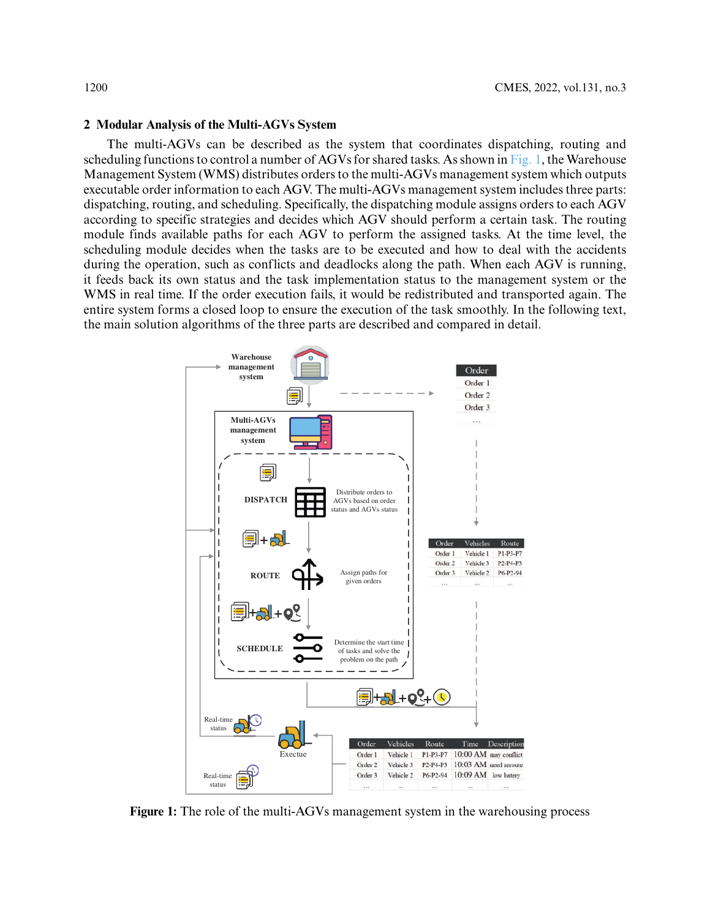### <span id="page-3-0"></span>**2 Modular Analysis of the Multi-AGVs System**

The multi-AGVs can be described as the system that coordinates dispatching, routing and scheduling functions to control a number of AGVs for shared tasks. As shown in [Fig. 1,](#page-3-1) the Warehouse Management System (WMS) distributes orders to the multi-AGVs management system which outputs executable order information to each AGV. The multi-AGVs management system includes three parts: dispatching, routing, and scheduling. Specifically, the dispatching module assigns orders to each AGV according to specific strategies and decides which AGV should perform a certain task. The routing module finds available paths for each AGV to perform the assigned tasks. At the time level, the scheduling module decides when the tasks are to be executed and how to deal with the accidents during the operation, such as conflicts and deadlocks along the path. When each AGV is running, it feeds back its own status and the task implementation status to the management system or the WMS in real time. If the order execution fails, it would be redistributed and transported again. The entire system forms a closed loop to ensure the execution of the task smoothly. In the following text, the main solution algorithms of the three parts are described and compared in detail.



<span id="page-3-1"></span>**Figure 1:** The role of the multi-AGVs management system in the warehousing process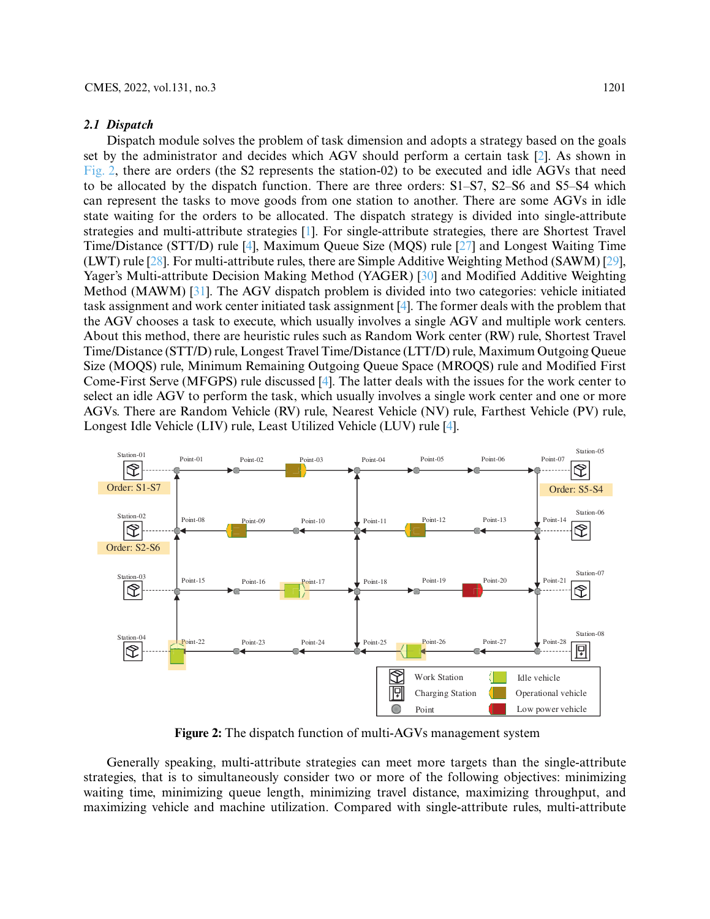#### *2.1 Dispatch*

Dispatch module solves the problem of task dimension and adopts a strategy based on the goals set by the administrator and decides which AGV should perform a certain task [\[2\]](#page-23-16). As shown in [Fig. 2,](#page-4-0) there are orders (the S2 represents the station-02) to be executed and idle AGVs that need to be allocated by the dispatch function. There are three orders: S1–S7, S2–S6 and S5–S4 which can represent the tasks to move goods from one station to another. There are some AGVs in idle state waiting for the orders to be allocated. The dispatch strategy is divided into single-attribute strategies and multi-attribute strategies [\[1\]](#page-23-0). For single-attribute strategies, there are Shortest Travel Time/Distance (STT/D) rule [\[4\]](#page-23-2), Maximum Queue Size (MQS) rule [\[27\]](#page-24-7) and Longest Waiting Time (LWT) rule [\[28\]](#page-24-8). For multi-attribute rules, there are Simple Additive Weighting Method (SAWM) [\[29\]](#page-24-9), Yager's Multi-attribute Decision Making Method (YAGER) [\[30\]](#page-24-10) and Modified Additive Weighting Method (MAWM) [\[31\]](#page-24-11). The AGV dispatch problem is divided into two categories: vehicle initiated task assignment and work center initiated task assignment [\[4\]](#page-23-2). The former deals with the problem that the AGV chooses a task to execute, which usually involves a single AGV and multiple work centers. About this method, there are heuristic rules such as Random Work center (RW) rule, Shortest Travel Time/Distance (STT/D) rule, Longest Travel Time/Distance (LTT/D) rule, Maximum Outgoing Queue Size (MOQS) rule, Minimum Remaining Outgoing Queue Space (MROQS) rule and Modified First Come-First Serve (MFGPS) rule discussed [\[4\]](#page-23-2). The latter deals with the issues for the work center to select an idle AGV to perform the task, which usually involves a single work center and one or more AGVs. There are Random Vehicle (RV) rule, Nearest Vehicle (NV) rule, Farthest Vehicle (PV) rule, Longest Idle Vehicle (LIV) rule, Least Utilized Vehicle (LUV) rule [\[4\]](#page-23-2).



**Figure 2:** The dispatch function of multi-AGVs management system

<span id="page-4-0"></span>Generally speaking, multi-attribute strategies can meet more targets than the single-attribute strategies, that is to simultaneously consider two or more of the following objectives: minimizing waiting time, minimizing queue length, minimizing travel distance, maximizing throughput, and maximizing vehicle and machine utilization. Compared with single-attribute rules, multi-attribute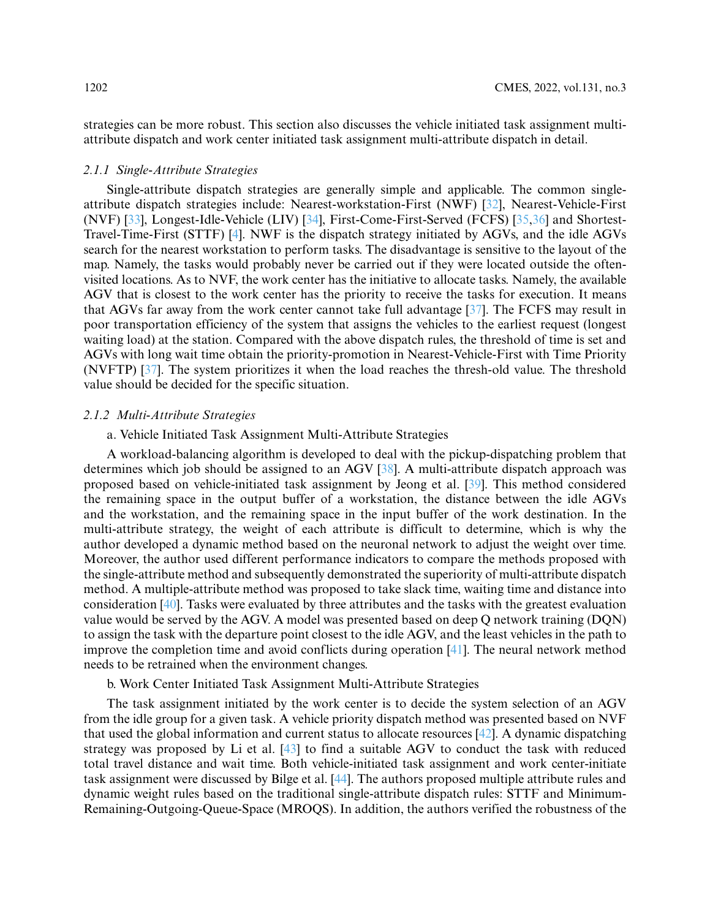strategies can be more robust. This section also discusses the vehicle initiated task assignment multiattribute dispatch and work center initiated task assignment multi-attribute dispatch in detail.

# *2.1.1 Single-Attribute Strategies*

Single-attribute dispatch strategies are generally simple and applicable. The common singleattribute dispatch strategies include: Nearest-workstation-First (NWF) [\[32\]](#page-24-12), Nearest-Vehicle-First (NVF) [\[33\]](#page-24-13), Longest-Idle-Vehicle (LIV) [\[34\]](#page-24-14), First-Come-First-Served (FCFS) [\[35,](#page-24-15)[36\]](#page-24-16) and Shortest-Travel-Time-First (STTF) [\[4\]](#page-23-2). NWF is the dispatch strategy initiated by AGVs, and the idle AGVs search for the nearest workstation to perform tasks. The disadvantage is sensitive to the layout of the map. Namely, the tasks would probably never be carried out if they were located outside the oftenvisited locations. As to NVF, the work center has the initiative to allocate tasks. Namely, the available AGV that is closest to the work center has the priority to receive the tasks for execution. It means that AGVs far away from the work center cannot take full advantage [\[37\]](#page-24-17). The FCFS may result in poor transportation efficiency of the system that assigns the vehicles to the earliest request (longest waiting load) at the station. Compared with the above dispatch rules, the threshold of time is set and AGVs with long wait time obtain the priority-promotion in Nearest-Vehicle-First with Time Priority (NVFTP) [\[37\]](#page-24-17). The system prioritizes it when the load reaches the thresh-old value. The threshold value should be decided for the specific situation.

### *2.1.2 Multi-Attribute Strategies*

# a. Vehicle Initiated Task Assignment Multi-Attribute Strategies

A workload-balancing algorithm is developed to deal with the pickup-dispatching problem that determines which job should be assigned to an AGV [\[38\]](#page-25-0). A multi-attribute dispatch approach was proposed based on vehicle-initiated task assignment by Jeong et al. [\[39\]](#page-25-1). This method considered the remaining space in the output buffer of a workstation, the distance between the idle AGVs and the workstation, and the remaining space in the input buffer of the work destination. In the multi-attribute strategy, the weight of each attribute is difficult to determine, which is why the author developed a dynamic method based on the neuronal network to adjust the weight over time. Moreover, the author used different performance indicators to compare the methods proposed with the single-attribute method and subsequently demonstrated the superiority of multi-attribute dispatch method. A multiple-attribute method was proposed to take slack time, waiting time and distance into consideration [\[40\]](#page-25-2). Tasks were evaluated by three attributes and the tasks with the greatest evaluation value would be served by the AGV. A model was presented based on deep Q network training (DQN) to assign the task with the departure point closest to the idle AGV, and the least vehicles in the path to improve the completion time and avoid conflicts during operation [\[41\]](#page-25-3). The neural network method needs to be retrained when the environment changes.

b. Work Center Initiated Task Assignment Multi-Attribute Strategies

The task assignment initiated by the work center is to decide the system selection of an AGV from the idle group for a given task. A vehicle priority dispatch method was presented based on NVF that used the global information and current status to allocate resources [\[42\]](#page-25-4). A dynamic dispatching strategy was proposed by Li et al. [\[43\]](#page-25-5) to find a suitable AGV to conduct the task with reduced total travel distance and wait time. Both vehicle-initiated task assignment and work center-initiate task assignment were discussed by Bilge et al. [\[44\]](#page-25-6). The authors proposed multiple attribute rules and dynamic weight rules based on the traditional single-attribute dispatch rules: STTF and Minimum-Remaining-Outgoing-Queue-Space (MROQS). In addition, the authors verified the robustness of the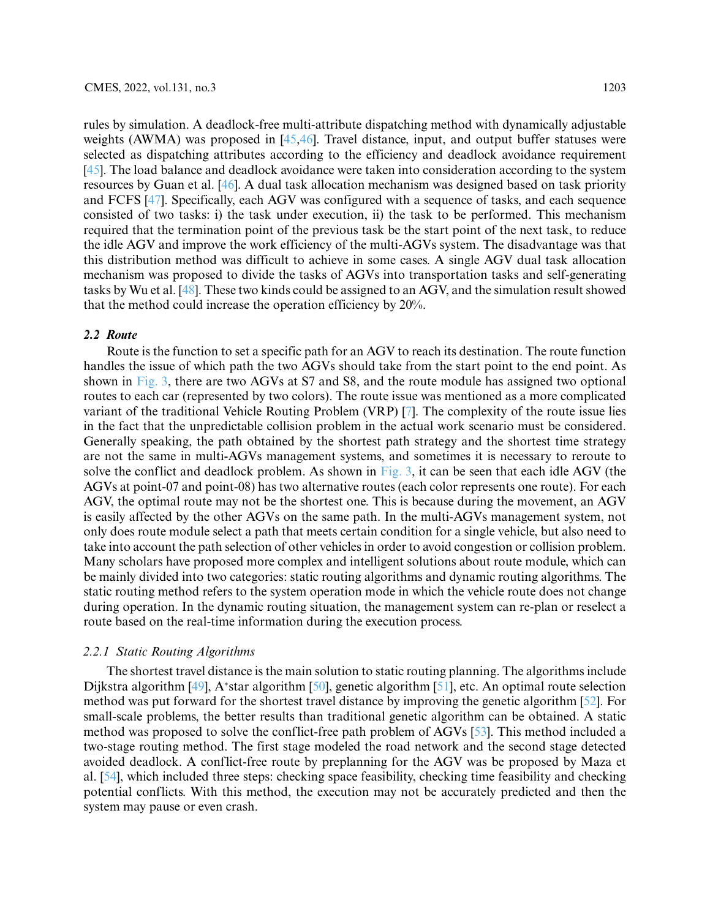rules by simulation. A deadlock-free multi-attribute dispatching method with dynamically adjustable weights (AWMA) was proposed in [\[45,](#page-25-7)[46\]](#page-25-8). Travel distance, input, and output buffer statuses were selected as dispatching attributes according to the efficiency and deadlock avoidance requirement [\[45\]](#page-25-7). The load balance and deadlock avoidance were taken into consideration according to the system resources by Guan et al. [\[46\]](#page-25-8). A dual task allocation mechanism was designed based on task priority and FCFS [\[47\]](#page-25-9). Specifically, each AGV was configured with a sequence of tasks, and each sequence consisted of two tasks: i) the task under execution, ii) the task to be performed. This mechanism required that the termination point of the previous task be the start point of the next task, to reduce the idle AGV and improve the work efficiency of the multi-AGVs system. The disadvantage was that this distribution method was difficult to achieve in some cases. A single AGV dual task allocation mechanism was proposed to divide the tasks of AGVs into transportation tasks and self-generating tasks by Wu et al. [\[48\]](#page-25-10). These two kinds could be assigned to an AGV, and the simulation result showed that the method could increase the operation efficiency by 20%.

# *2.2 Route*

Route is the function to set a specific path for an AGV to reach its destination. The route function handles the issue of which path the two AGVs should take from the start point to the end point. As shown in [Fig. 3,](#page-7-0) there are two AGVs at S7 and S8, and the route module has assigned two optional routes to each car (represented by two colors). The route issue was mentioned as a more complicated variant of the traditional Vehicle Routing Problem (VRP) [\[7\]](#page-23-4). The complexity of the route issue lies in the fact that the unpredictable collision problem in the actual work scenario must be considered. Generally speaking, the path obtained by the shortest path strategy and the shortest time strategy are not the same in multi-AGVs management systems, and sometimes it is necessary to reroute to solve the conflict and deadlock problem. As shown in  $Fig. 3$ , it can be seen that each idle AGV (the AGVs at point-07 and point-08) has two alternative routes (each color represents one route). For each AGV, the optimal route may not be the shortest one. This is because during the movement, an AGV is easily affected by the other AGVs on the same path. In the multi-AGVs management system, not only does route module select a path that meets certain condition for a single vehicle, but also need to take into account the path selection of other vehicles in order to avoid congestion or collision problem. Many scholars have proposed more complex and intelligent solutions about route module, which can be mainly divided into two categories: static routing algorithms and dynamic routing algorithms. The static routing method refers to the system operation mode in which the vehicle route does not change during operation. In the dynamic routing situation, the management system can re-plan or reselect a route based on the real-time information during the execution process.

# *2.2.1 Static Routing Algorithms*

The shortest travel distance is the main solution to static routing planning. The algorithms include Dijkstra algorithm [\[49\]](#page-25-11), A\*star algorithm [\[50\]](#page-25-12), genetic algorithm [\[51\]](#page-25-13), etc. An optimal route selection method was put forward for the shortest travel distance by improving the genetic algorithm [\[52\]](#page-25-14). For small-scale problems, the better results than traditional genetic algorithm can be obtained. A static method was proposed to solve the conflict-free path problem of AGVs [\[53\]](#page-25-15). This method included a two-stage routing method. The first stage modeled the road network and the second stage detected avoided deadlock. A conflict-free route by preplanning for the AGV was be proposed by Maza et al. [\[54\]](#page-25-16), which included three steps: checking space feasibility, checking time feasibility and checking potential conflicts. With this method, the execution may not be accurately predicted and then the system may pause or even crash.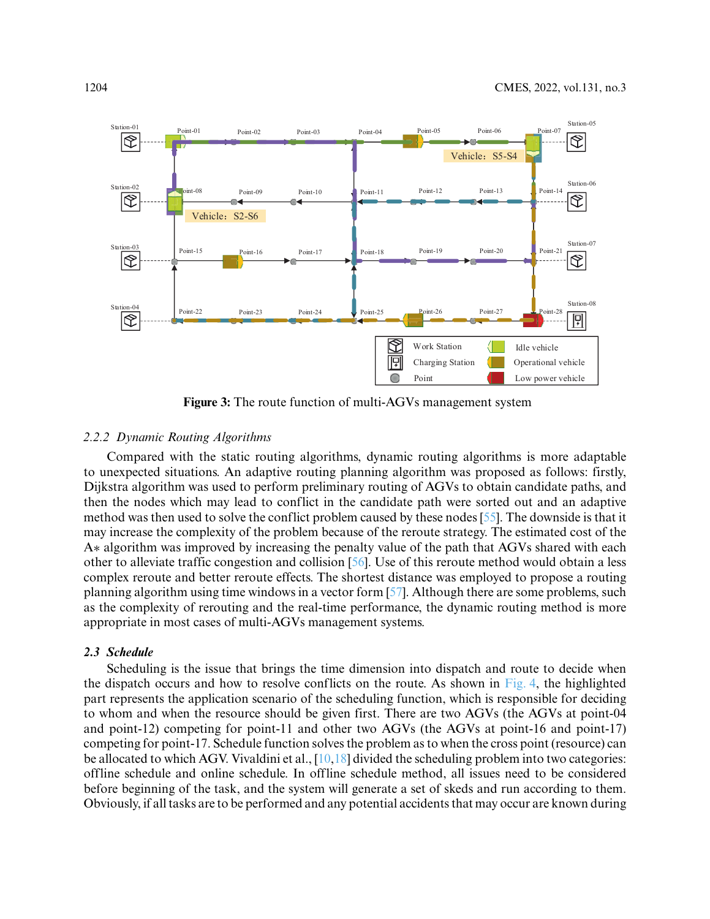

**Figure 3:** The route function of multi-AGVs management system

# <span id="page-7-0"></span>*2.2.2 Dynamic Routing Algorithms*

Compared with the static routing algorithms, dynamic routing algorithms is more adaptable to unexpected situations. An adaptive routing planning algorithm was proposed as follows: firstly, Dijkstra algorithm was used to perform preliminary routing of AGVs to obtain candidate paths, and then the nodes which may lead to conflict in the candidate path were sorted out and an adaptive method was then used to solve the conflict problem caused by these nodes [\[55\]](#page-25-17). The downside is that it may increase the complexity of the problem because of the reroute strategy. The estimated cost of the A∗ algorithm was improved by increasing the penalty value of the path that AGVs shared with each other to alleviate traffic congestion and collision [\[56\]](#page-26-0). Use of this reroute method would obtain a less complex reroute and better reroute effects. The shortest distance was employed to propose a routing planning algorithm using time windows in a vector form [\[57\]](#page-26-1). Although there are some problems, such as the complexity of rerouting and the real-time performance, the dynamic routing method is more appropriate in most cases of multi-AGVs management systems.

# *2.3 Schedule*

Scheduling is the issue that brings the time dimension into dispatch and route to decide when the dispatch occurs and how to resolve conflicts on the route. As shown in [Fig. 4,](#page-8-0) the highlighted part represents the application scenario of the scheduling function, which is responsible for deciding to whom and when the resource should be given first. There are two AGVs (the AGVs at point-04 and point-12) competing for point-11 and other two AGVs (the AGVs at point-16 and point-17) competing for point-17. Schedule function solves the problem as to when the cross point (resource) can be allocated to which AGV. Vivaldini et al., [\[10](#page-23-7)[,18\]](#page-23-15) divided the scheduling problem into two categories: offline schedule and online schedule. In offline schedule method, all issues need to be considered before beginning of the task, and the system will generate a set of skeds and run according to them. Obviously, if all tasks are to be performed and any potential accidents that may occur are known during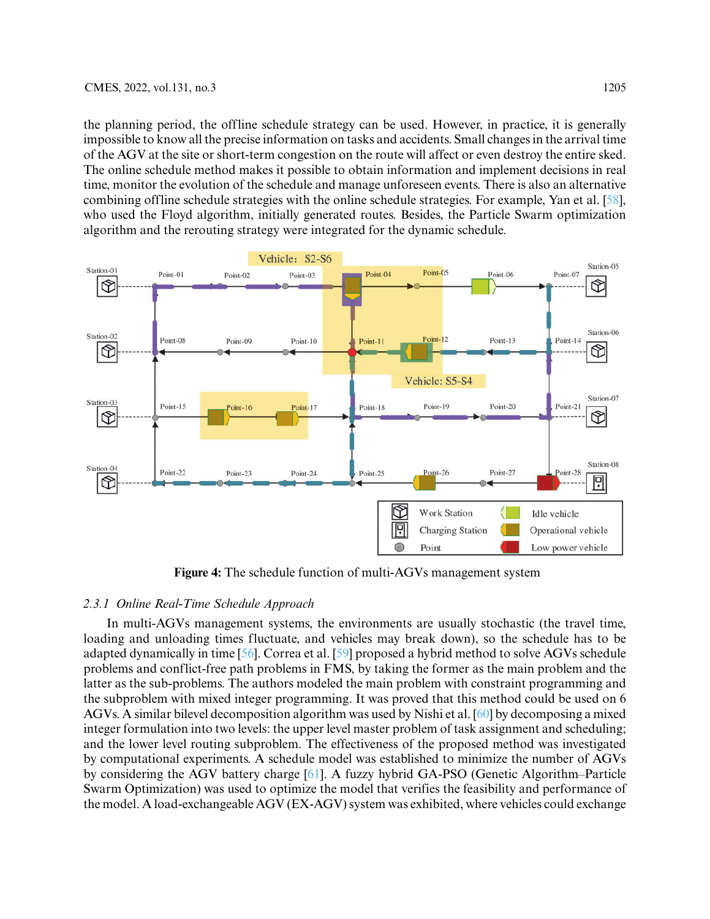the planning period, the offline schedule strategy can be used. However, in practice, it is generally impossible to know all the precise information on tasks and accidents. Small changes in the arrival time of the AGV at the site or short-term congestion on the route will affect or even destroy the entire sked. The online schedule method makes it possible to obtain information and implement decisions in real time, monitor the evolution of the schedule and manage unforeseen events. There is also an alternative combining offline schedule strategies with the online schedule strategies. For example, Yan et al. [\[58\]](#page-26-2), who used the Floyd algorithm, initially generated routes. Besides, the Particle Swarm optimization algorithm and the rerouting strategy were integrated for the dynamic schedule.



**Figure 4:** The schedule function of multi-AGVs management system

# <span id="page-8-0"></span>*2.3.1 Online Real-Time Schedule Approach*

In multi-AGVs management systems, the environments are usually stochastic (the travel time, loading and unloading times fluctuate, and vehicles may break down), so the schedule has to be adapted dynamically in time [\[56\]](#page-26-0). Correa et al. [\[59\]](#page-26-3) proposed a hybrid method to solve AGVs schedule problems and conflict-free path problems in FMS, by taking the former as the main problem and the latter as the sub-problems. The authors modeled the main problem with constraint programming and the subproblem with mixed integer programming. It was proved that this method could be used on 6 AGVs. A similar bilevel decomposition algorithm was used by Nishi et al. [\[60\]](#page-26-4) by decomposing a mixed integer formulation into two levels: the upper level master problem of task assignment and scheduling; and the lower level routing subproblem. The effectiveness of the proposed method was investigated by computational experiments. A schedule model was established to minimize the number of AGVs by considering the AGV battery charge [\[61\]](#page-26-5). A fuzzy hybrid GA-PSO (Genetic Algorithm–Particle Swarm Optimization) was used to optimize the model that verifies the feasibility and performance of the model. A load-exchangeable AGV (EX-AGV) system was exhibited, where vehicles could exchange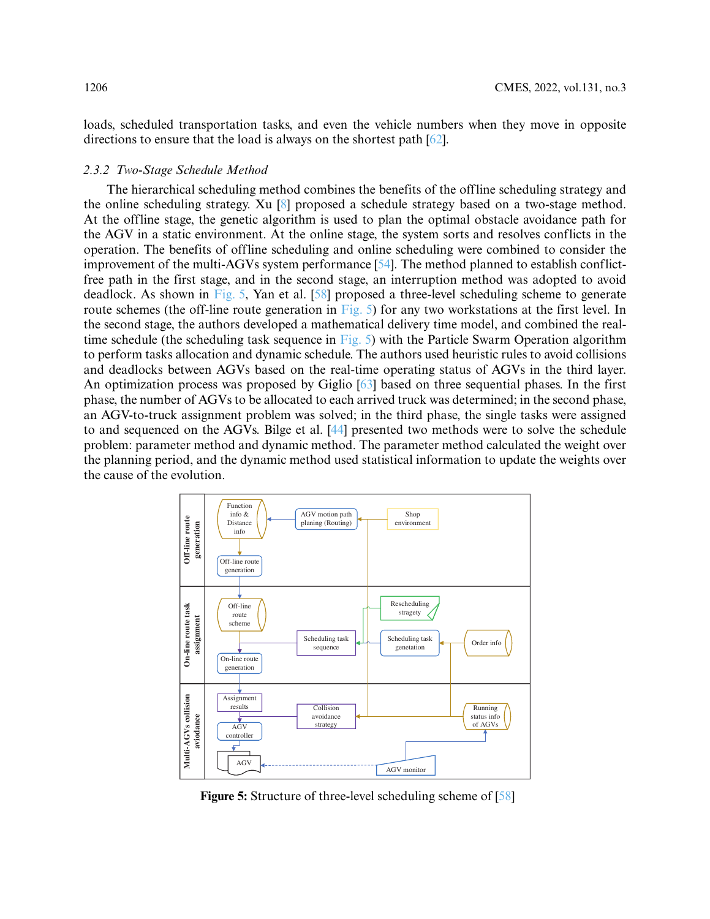loads, scheduled transportation tasks, and even the vehicle numbers when they move in opposite directions to ensure that the load is always on the shortest path [\[62\]](#page-26-6).

# *2.3.2 Two-Stage Schedule Method*

The hierarchical scheduling method combines the benefits of the offline scheduling strategy and the online scheduling strategy. Xu [\[8\]](#page-23-5) proposed a schedule strategy based on a two-stage method. At the offline stage, the genetic algorithm is used to plan the optimal obstacle avoidance path for the AGV in a static environment. At the online stage, the system sorts and resolves conflicts in the operation. The benefits of offline scheduling and online scheduling were combined to consider the improvement of the multi-AGVs system performance [\[54\]](#page-25-16). The method planned to establish conflictfree path in the first stage, and in the second stage, an interruption method was adopted to avoid deadlock. As shown in [Fig. 5,](#page-9-0) Yan et al. [\[58\]](#page-26-2) proposed a three-level scheduling scheme to generate route schemes (the off-line route generation in [Fig. 5\)](#page-9-0) for any two workstations at the first level. In the second stage, the authors developed a mathematical delivery time model, and combined the real-time schedule (the scheduling task sequence in [Fig. 5\)](#page-9-0) with the Particle Swarm Operation algorithm to perform tasks allocation and dynamic schedule. The authors used heuristic rules to avoid collisions and deadlocks between AGVs based on the real-time operating status of AGVs in the third layer. An optimization process was proposed by Giglio [\[63\]](#page-26-7) based on three sequential phases. In the first phase, the number of AGVs to be allocated to each arrived truck was determined; in the second phase, an AGV-to-truck assignment problem was solved; in the third phase, the single tasks were assigned to and sequenced on the AGVs. Bilge et al. [\[44\]](#page-25-6) presented two methods were to solve the schedule problem: parameter method and dynamic method. The parameter method calculated the weight over the planning period, and the dynamic method used statistical information to update the weights over the cause of the evolution.



<span id="page-9-0"></span>**Figure 5:** Structure of three-level scheduling scheme of [\[58\]](#page-26-2)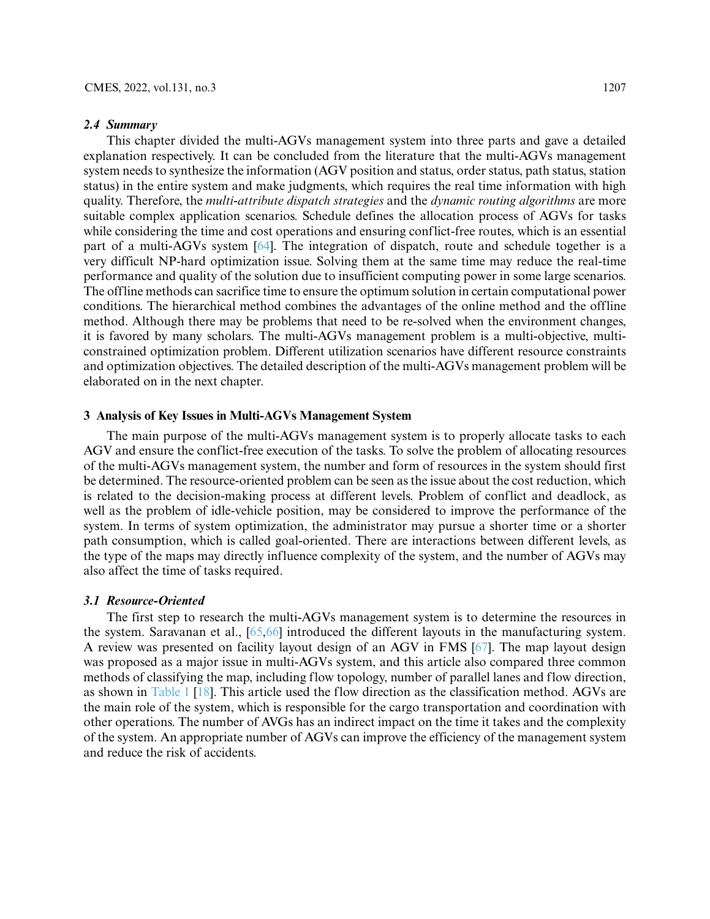#### *2.4 Summary*

This chapter divided the multi-AGVs management system into three parts and gave a detailed explanation respectively. It can be concluded from the literature that the multi-AGVs management system needs to synthesize the information (AGV position and status, order status, path status, station status) in the entire system and make judgments, which requires the real time information with high quality. Therefore, the *multi-attribute dispatch strategies* and the *dynamic routing algorithms* are more suitable complex application scenarios. Schedule defines the allocation process of AGVs for tasks while considering the time and cost operations and ensuring conflict-free routes, which is an essential part of a multi-AGVs system [\[64\]](#page-26-8). The integration of dispatch, route and schedule together is a very difficult NP-hard optimization issue. Solving them at the same time may reduce the real-time performance and quality of the solution due to insufficient computing power in some large scenarios. The offline methods can sacrifice time to ensure the optimum solution in certain computational power conditions. The hierarchical method combines the advantages of the online method and the offline method. Although there may be problems that need to be re-solved when the environment changes, it is favored by many scholars. The multi-AGVs management problem is a multi-objective, multiconstrained optimization problem. Different utilization scenarios have different resource constraints and optimization objectives. The detailed description of the multi-AGVs management problem will be elaborated on in the next chapter.

#### <span id="page-10-0"></span>**3 Analysis of Key Issues in Multi-AGVs Management System**

The main purpose of the multi-AGVs management system is to properly allocate tasks to each AGV and ensure the conflict-free execution of the tasks. To solve the problem of allocating resources of the multi-AGVs management system, the number and form of resources in the system should first be determined. The resource-oriented problem can be seen as the issue about the cost reduction, which is related to the decision-making process at different levels. Problem of conflict and deadlock, as well as the problem of idle-vehicle position, may be considered to improve the performance of the system. In terms of system optimization, the administrator may pursue a shorter time or a shorter path consumption, which is called goal-oriented. There are interactions between different levels, as the type of the maps may directly influence complexity of the system, and the number of AGVs may also affect the time of tasks required.

### *3.1 Resource-Oriented*

The first step to research the multi-AGVs management system is to determine the resources in the system. Saravanan et al., [\[65](#page-26-9)[,66\]](#page-26-10) introduced the different layouts in the manufacturing system. A review was presented on facility layout design of an AGV in FMS [\[67\]](#page-26-11). The map layout design was proposed as a major issue in multi-AGVs system, and this article also compared three common methods of classifying the map, including flow topology, number of parallel lanes and flow direction, as shown in [Table 1](#page-11-0) [\[18\]](#page-23-15). This article used the flow direction as the classification method. AGVs are the main role of the system, which is responsible for the cargo transportation and coordination with other operations. The number of AVGs has an indirect impact on the time it takes and the complexity of the system. An appropriate number of AGVs can improve the efficiency of the management system and reduce the risk of accidents.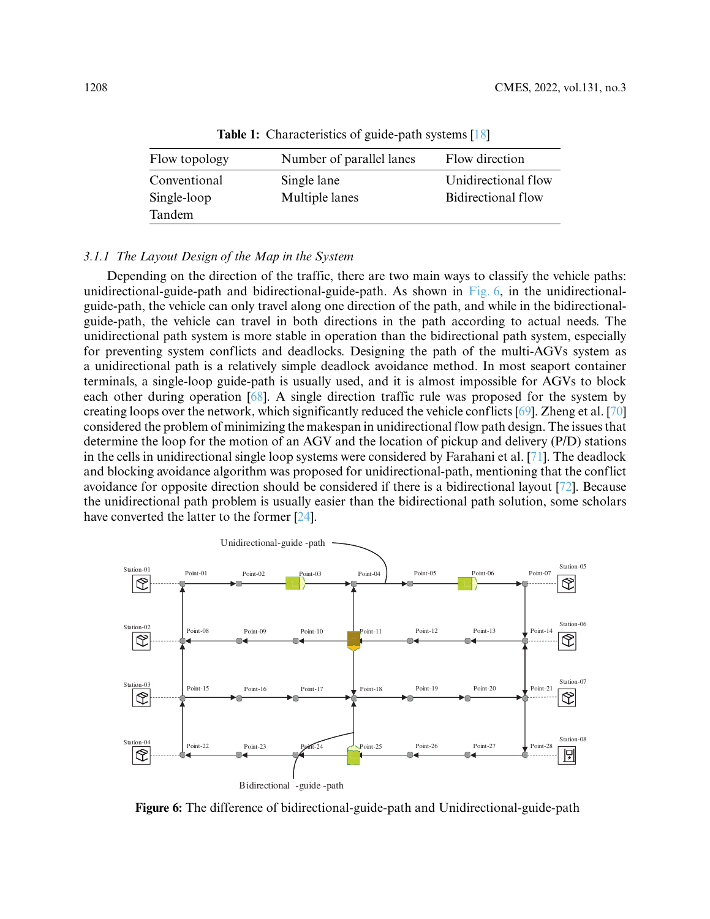<span id="page-11-0"></span>

| Flow topology | Number of parallel lanes | Flow direction      |
|---------------|--------------------------|---------------------|
| Conventional  | Single lane              | Unidirectional flow |
| Single-loop   | Multiple lanes           | Bidirectional flow  |
| Tandem        |                          |                     |

**Table 1:** Characteristics of guide-path systems [\[18\]](#page-23-15)

# *3.1.1 The Layout Design of the Map in the System*

Depending on the direction of the traffic, there are two main ways to classify the vehicle paths: unidirectional-guide-path and bidirectional-guide-path. As shown in [Fig. 6,](#page-11-1) in the unidirectionalguide-path, the vehicle can only travel along one direction of the path, and while in the bidirectionalguide-path, the vehicle can travel in both directions in the path according to actual needs. The unidirectional path system is more stable in operation than the bidirectional path system, especially for preventing system conflicts and deadlocks. Designing the path of the multi-AGVs system as a unidirectional path is a relatively simple deadlock avoidance method. In most seaport container terminals, a single-loop guide-path is usually used, and it is almost impossible for AGVs to block each other during operation [\[68\]](#page-26-12). A single direction traffic rule was proposed for the system by creating loops over the network, which significantly reduced the vehicle conflicts [\[69\]](#page-26-13). Zheng et al. [\[70\]](#page-26-14) considered the problem of minimizing the makespan in unidirectional flow path design. The issues that determine the loop for the motion of an AGV and the location of pickup and delivery (P/D) stations in the cells in unidirectional single loop systems were considered by Farahani et al. [\[71\]](#page-26-15). The deadlock and blocking avoidance algorithm was proposed for unidirectional-path, mentioning that the conflict avoidance for opposite direction should be considered if there is a bidirectional layout [\[72\]](#page-26-16). Because the unidirectional path problem is usually easier than the bidirectional path solution, some scholars have converted the latter to the former [\[24\]](#page-24-4).



<span id="page-11-1"></span>**Figure 6:** The difference of bidirectional-guide-path and Unidirectional-guide-path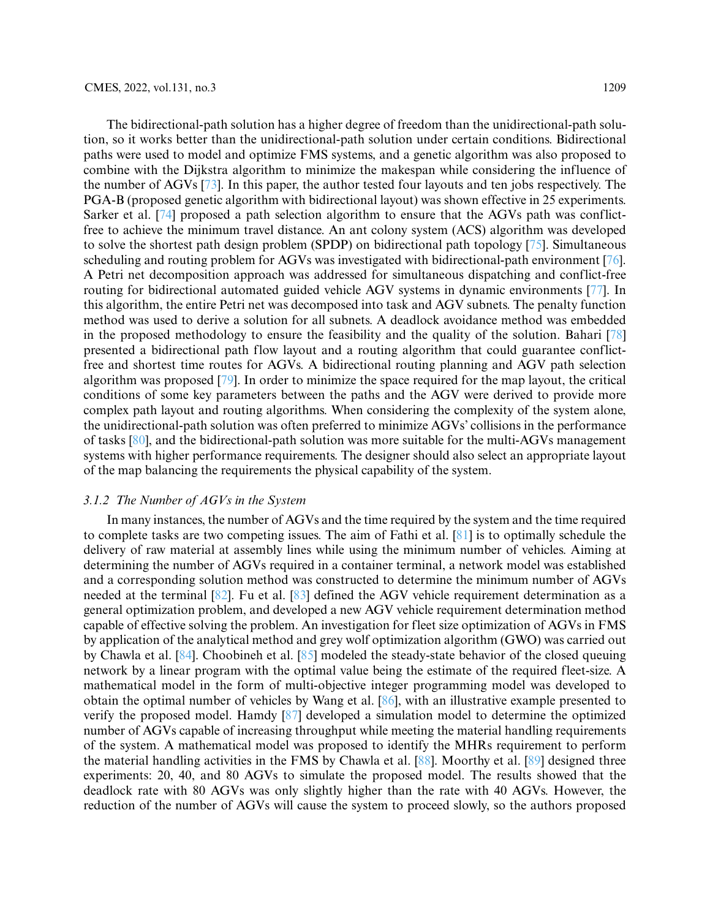The bidirectional-path solution has a higher degree of freedom than the unidirectional-path solution, so it works better than the unidirectional-path solution under certain conditions. Bidirectional paths were used to model and optimize FMS systems, and a genetic algorithm was also proposed to combine with the Dijkstra algorithm to minimize the makespan while considering the influence of the number of AGVs [\[73\]](#page-26-17). In this paper, the author tested four layouts and ten jobs respectively. The PGA-B (proposed genetic algorithm with bidirectional layout) was shown effective in 25 experiments. Sarker et al. [\[74\]](#page-27-0) proposed a path selection algorithm to ensure that the AGVs path was conflictfree to achieve the minimum travel distance. An ant colony system (ACS) algorithm was developed to solve the shortest path design problem (SPDP) on bidirectional path topology [\[75\]](#page-27-1). Simultaneous scheduling and routing problem for AGVs was investigated with bidirectional-path environment [\[76\]](#page-27-2). A Petri net decomposition approach was addressed for simultaneous dispatching and conflict-free routing for bidirectional automated guided vehicle AGV systems in dynamic environments [\[77\]](#page-27-3). In this algorithm, the entire Petri net was decomposed into task and AGV subnets. The penalty function method was used to derive a solution for all subnets. A deadlock avoidance method was embedded in the proposed methodology to ensure the feasibility and the quality of the solution. Bahari [\[78\]](#page-27-4) presented a bidirectional path flow layout and a routing algorithm that could guarantee conflictfree and shortest time routes for AGVs. A bidirectional routing planning and AGV path selection algorithm was proposed [\[79\]](#page-27-5). In order to minimize the space required for the map layout, the critical conditions of some key parameters between the paths and the AGV were derived to provide more complex path layout and routing algorithms. When considering the complexity of the system alone, the unidirectional-path solution was often preferred to minimize AGVs' collisions in the performance of tasks [\[80\]](#page-27-6), and the bidirectional-path solution was more suitable for the multi-AGVs management systems with higher performance requirements. The designer should also select an appropriate layout of the map balancing the requirements the physical capability of the system.

### *3.1.2 The Number of AGVs in the System*

In many instances, the number of AGVs and the time required by the system and the time required to complete tasks are two competing issues. The aim of Fathi et al. [\[81\]](#page-27-7) is to optimally schedule the delivery of raw material at assembly lines while using the minimum number of vehicles. Aiming at determining the number of AGVs required in a container terminal, a network model was established and a corresponding solution method was constructed to determine the minimum number of AGVs needed at the terminal [\[82\]](#page-27-8). Fu et al. [\[83\]](#page-27-9) defined the AGV vehicle requirement determination as a general optimization problem, and developed a new AGV vehicle requirement determination method capable of effective solving the problem. An investigation for fleet size optimization of AGVs in FMS by application of the analytical method and grey wolf optimization algorithm (GWO) was carried out by Chawla et al. [\[84\]](#page-27-10). Choobineh et al. [\[85\]](#page-27-11) modeled the steady-state behavior of the closed queuing network by a linear program with the optimal value being the estimate of the required fleet-size. A mathematical model in the form of multi-objective integer programming model was developed to obtain the optimal number of vehicles by Wang et al. [\[86\]](#page-27-12), with an illustrative example presented to verify the proposed model. Hamdy [\[87\]](#page-27-13) developed a simulation model to determine the optimized number of AGVs capable of increasing throughput while meeting the material handling requirements of the system. A mathematical model was proposed to identify the MHRs requirement to perform the material handling activities in the FMS by Chawla et al. [\[88\]](#page-27-14). Moorthy et al. [\[89\]](#page-27-15) designed three experiments: 20, 40, and 80 AGVs to simulate the proposed model. The results showed that the deadlock rate with 80 AGVs was only slightly higher than the rate with 40 AGVs. However, the reduction of the number of AGVs will cause the system to proceed slowly, so the authors proposed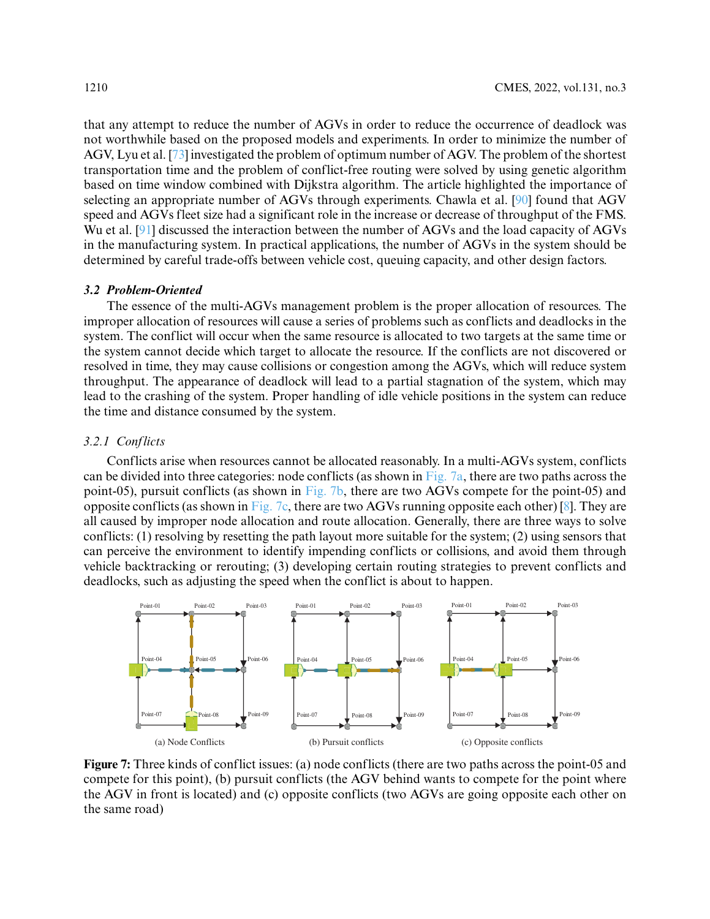that any attempt to reduce the number of AGVs in order to reduce the occurrence of deadlock was not worthwhile based on the proposed models and experiments. In order to minimize the number of AGV, Lyu et al. [\[73\]](#page-26-17) investigated the problem of optimum number of AGV. The problem of the shortest transportation time and the problem of conflict-free routing were solved by using genetic algorithm based on time window combined with Dijkstra algorithm. The article highlighted the importance of selecting an appropriate number of AGVs through experiments. Chawla et al. [\[90\]](#page-27-16) found that AGV speed and AGVs fleet size had a significant role in the increase or decrease of throughput of the FMS. Wu et al. [\[91\]](#page-27-17) discussed the interaction between the number of AGVs and the load capacity of AGVs in the manufacturing system. In practical applications, the number of AGVs in the system should be determined by careful trade-offs between vehicle cost, queuing capacity, and other design factors.

# *3.2 Problem-Oriented*

The essence of the multi-AGVs management problem is the proper allocation of resources. The improper allocation of resources will cause a series of problems such as conflicts and deadlocks in the system. The conflict will occur when the same resource is allocated to two targets at the same time or the system cannot decide which target to allocate the resource. If the conflicts are not discovered or resolved in time, they may cause collisions or congestion among the AGVs, which will reduce system throughput. The appearance of deadlock will lead to a partial stagnation of the system, which may lead to the crashing of the system. Proper handling of idle vehicle positions in the system can reduce the time and distance consumed by the system.

# *3.2.1 Conflicts*

Conflicts arise when resources cannot be allocated reasonably. In a multi-AGVs system, conflicts can be divided into three categories: node conflicts (as shown in [Fig. 7a,](#page-13-0) there are two paths across the point-05), pursuit conflicts (as shown in [Fig. 7b,](#page-13-0) there are two AGVs compete for the point-05) and opposite conflicts (as shown in [Fig. 7c,](#page-13-0) there are two AGVs running opposite each other) [\[8\]](#page-23-5). They are all caused by improper node allocation and route allocation. Generally, there are three ways to solve conflicts: (1) resolving by resetting the path layout more suitable for the system; (2) using sensors that can perceive the environment to identify impending conflicts or collisions, and avoid them through vehicle backtracking or rerouting; (3) developing certain routing strategies to prevent conflicts and deadlocks, such as adjusting the speed when the conflict is about to happen.



<span id="page-13-0"></span>**Figure 7:** Three kinds of conflict issues: (a) node conflicts (there are two paths across the point-05 and compete for this point), (b) pursuit conflicts (the AGV behind wants to compete for the point where the AGV in front is located) and (c) opposite conflicts (two AGVs are going opposite each other on the same road)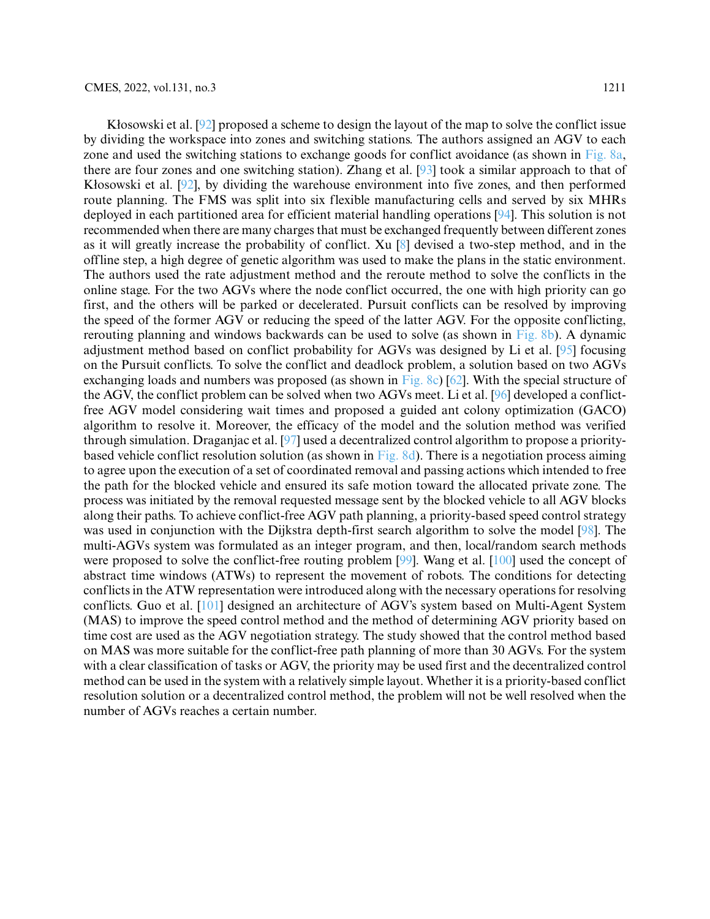Kłosowski et al. [\[92\]](#page-27-18) proposed a scheme to design the layout of the map to solve the conflict issue by dividing the workspace into zones and switching stations. The authors assigned an AGV to each zone and used the switching stations to exchange goods for conflict avoidance (as shown in [Fig. 8a,](#page-15-0) there are four zones and one switching station). Zhang et al. [\[93\]](#page-28-0) took a similar approach to that of Kłosowski et al. [\[92\]](#page-27-18), by dividing the warehouse environment into five zones, and then performed route planning. The FMS was split into six flexible manufacturing cells and served by six MHRs deployed in each partitioned area for efficient material handling operations [\[94\]](#page-28-1). This solution is not recommended when there are many charges that must be exchanged frequently between different zones as it will greatly increase the probability of conflict. Xu [\[8\]](#page-23-5) devised a two-step method, and in the offline step, a high degree of genetic algorithm was used to make the plans in the static environment. The authors used the rate adjustment method and the reroute method to solve the conflicts in the online stage. For the two AGVs where the node conflict occurred, the one with high priority can go first, and the others will be parked or decelerated. Pursuit conflicts can be resolved by improving the speed of the former AGV or reducing the speed of the latter AGV. For the opposite conflicting, rerouting planning and windows backwards can be used to solve (as shown in [Fig. 8b\)](#page-15-0). A dynamic adjustment method based on conflict probability for AGVs was designed by Li et al. [\[95\]](#page-28-2) focusing on the Pursuit conflicts. To solve the conflict and deadlock problem, a solution based on two AGVs exchanging loads and numbers was proposed (as shown in [Fig. 8c\)](#page-15-0) [\[62\]](#page-26-6). With the special structure of the AGV, the conflict problem can be solved when two AGVs meet. Li et al. [\[96\]](#page-28-3) developed a conflictfree AGV model considering wait times and proposed a guided ant colony optimization (GACO) algorithm to resolve it. Moreover, the efficacy of the model and the solution method was verified through simulation. Draganjac et al. [\[97\]](#page-28-4) used a decentralized control algorithm to propose a prioritybased vehicle conflict resolution solution (as shown in [Fig. 8d\)](#page-15-0). There is a negotiation process aiming to agree upon the execution of a set of coordinated removal and passing actions which intended to free the path for the blocked vehicle and ensured its safe motion toward the allocated private zone. The process was initiated by the removal requested message sent by the blocked vehicle to all AGV blocks along their paths. To achieve conflict-free AGV path planning, a priority-based speed control strategy was used in conjunction with the Dijkstra depth-first search algorithm to solve the model [\[98\]](#page-28-5). The multi-AGVs system was formulated as an integer program, and then, local/random search methods were proposed to solve the conflict-free routing problem [\[99\]](#page-28-6). Wang et al. [\[100\]](#page-28-7) used the concept of abstract time windows (ATWs) to represent the movement of robots. The conditions for detecting conflicts in the ATW representation were introduced along with the necessary operations for resolving conflicts. Guo et al. [\[101\]](#page-28-8) designed an architecture of AGV's system based on Multi-Agent System (MAS) to improve the speed control method and the method of determining AGV priority based on time cost are used as the AGV negotiation strategy. The study showed that the control method based on MAS was more suitable for the conflict-free path planning of more than 30 AGVs. For the system with a clear classification of tasks or AGV, the priority may be used first and the decentralized control method can be used in the system with a relatively simple layout. Whether it is a priority-based conflict resolution solution or a decentralized control method, the problem will not be well resolved when the number of AGVs reaches a certain number.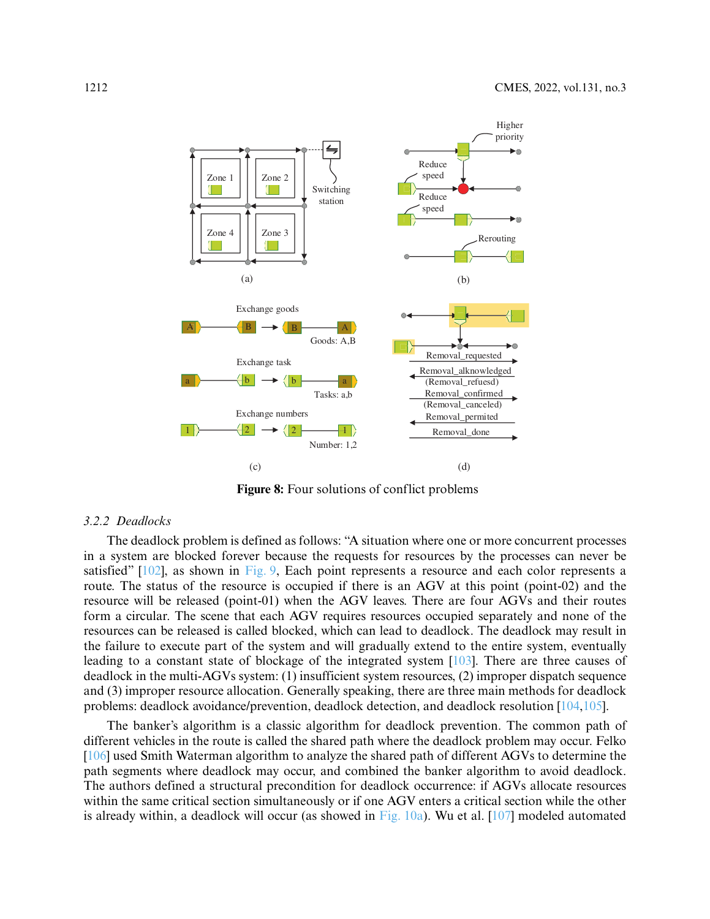

**Figure 8:** Four solutions of conflict problems

# <span id="page-15-0"></span>*3.2.2 Deadlocks*

The deadlock problem is defined as follows: "A situation where one or more concurrent processes in a system are blocked forever because the requests for resources by the processes can never be satisfied" [\[102\]](#page-28-9), as shown in [Fig. 9,](#page-16-0) Each point represents a resource and each color represents a route. The status of the resource is occupied if there is an AGV at this point (point-02) and the resource will be released (point-01) when the AGV leaves. There are four AGVs and their routes form a circular. The scene that each AGV requires resources occupied separately and none of the resources can be released is called blocked, which can lead to deadlock. The deadlock may result in the failure to execute part of the system and will gradually extend to the entire system, eventually leading to a constant state of blockage of the integrated system [\[103\]](#page-28-10). There are three causes of deadlock in the multi-AGVs system: (1) insufficient system resources, (2) improper dispatch sequence and (3) improper resource allocation. Generally speaking, there are three main methods for deadlock problems: deadlock avoidance/prevention, deadlock detection, and deadlock resolution [\[104,](#page-28-11)[105\]](#page-28-12).

The banker's algorithm is a classic algorithm for deadlock prevention. The common path of different vehicles in the route is called the shared path where the deadlock problem may occur. Felko [\[106\]](#page-28-13) used Smith Waterman algorithm to analyze the shared path of different AGVs to determine the path segments where deadlock may occur, and combined the banker algorithm to avoid deadlock. The authors defined a structural precondition for deadlock occurrence: if AGVs allocate resources within the same critical section simultaneously or if one AGV enters a critical section while the other is already within, a deadlock will occur (as showed in [Fig. 10a\)](#page-17-0). Wu et al.  $[107]$  modeled automated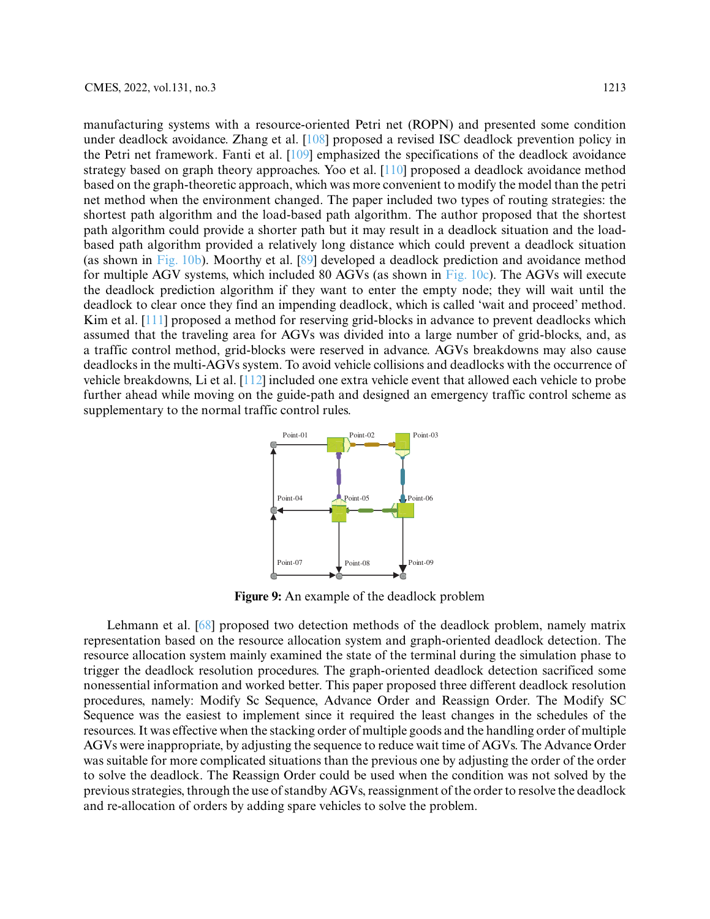manufacturing systems with a resource-oriented Petri net (ROPN) and presented some condition under deadlock avoidance. Zhang et al. [\[108\]](#page-28-15) proposed a revised ISC deadlock prevention policy in the Petri net framework. Fanti et al. [\[109\]](#page-28-16) emphasized the specifications of the deadlock avoidance strategy based on graph theory approaches. Yoo et al. [\[110\]](#page-29-0) proposed a deadlock avoidance method based on the graph-theoretic approach, which was more convenient to modify the model than the petri net method when the environment changed. The paper included two types of routing strategies: the shortest path algorithm and the load-based path algorithm. The author proposed that the shortest path algorithm could provide a shorter path but it may result in a deadlock situation and the loadbased path algorithm provided a relatively long distance which could prevent a deadlock situation (as shown in [Fig. 10b\)](#page-17-0). Moorthy et al. [\[89\]](#page-27-15) developed a deadlock prediction and avoidance method for multiple AGV systems, which included 80 AGVs (as shown in [Fig. 10c\)](#page-17-0). The AGVs will execute the deadlock prediction algorithm if they want to enter the empty node; they will wait until the deadlock to clear once they find an impending deadlock, which is called 'wait and proceed' method. Kim et al. [\[111\]](#page-29-1) proposed a method for reserving grid-blocks in advance to prevent deadlocks which assumed that the traveling area for AGVs was divided into a large number of grid-blocks, and, as a traffic control method, grid-blocks were reserved in advance. AGVs breakdowns may also cause deadlocks in the multi-AGVs system. To avoid vehicle collisions and deadlocks with the occurrence of vehicle breakdowns, Li et al. [\[112\]](#page-29-2) included one extra vehicle event that allowed each vehicle to probe further ahead while moving on the guide-path and designed an emergency traffic control scheme as supplementary to the normal traffic control rules.



**Figure 9:** An example of the deadlock problem

<span id="page-16-0"></span>Lehmann et al. [\[68\]](#page-26-12) proposed two detection methods of the deadlock problem, namely matrix representation based on the resource allocation system and graph-oriented deadlock detection. The resource allocation system mainly examined the state of the terminal during the simulation phase to trigger the deadlock resolution procedures. The graph-oriented deadlock detection sacrificed some nonessential information and worked better. This paper proposed three different deadlock resolution procedures, namely: Modify Sc Sequence, Advance Order and Reassign Order. The Modify SC Sequence was the easiest to implement since it required the least changes in the schedules of the resources. It was effective when the stacking order of multiple goods and the handling order of multiple AGVs were inappropriate, by adjusting the sequence to reduce wait time of AGVs. The Advance Order was suitable for more complicated situations than the previous one by adjusting the order of the order to solve the deadlock. The Reassign Order could be used when the condition was not solved by the previous strategies, through the use of standby AGVs, reassignment of the order to resolve the deadlock and re-allocation of orders by adding spare vehicles to solve the problem.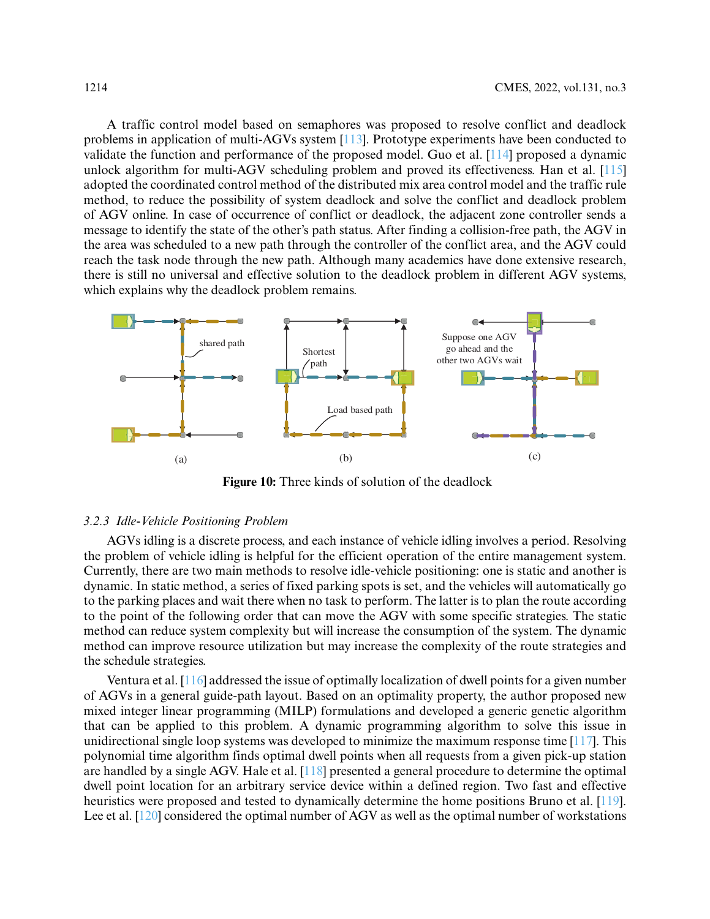A traffic control model based on semaphores was proposed to resolve conflict and deadlock problems in application of multi-AGVs system [\[113\]](#page-29-3). Prototype experiments have been conducted to validate the function and performance of the proposed model. Guo et al. [\[114\]](#page-29-4) proposed a dynamic unlock algorithm for multi-AGV scheduling problem and proved its effectiveness. Han et al. [\[115\]](#page-29-5) adopted the coordinated control method of the distributed mix area control model and the traffic rule method, to reduce the possibility of system deadlock and solve the conflict and deadlock problem of AGV online. In case of occurrence of conflict or deadlock, the adjacent zone controller sends a message to identify the state of the other's path status. After finding a collision-free path, the AGV in the area was scheduled to a new path through the controller of the conflict area, and the AGV could reach the task node through the new path. Although many academics have done extensive research, there is still no universal and effective solution to the deadlock problem in different AGV systems, which explains why the deadlock problem remains.



**Figure 10:** Three kinds of solution of the deadlock

### <span id="page-17-0"></span>*3.2.3 Idle-Vehicle Positioning Problem*

AGVs idling is a discrete process, and each instance of vehicle idling involves a period. Resolving the problem of vehicle idling is helpful for the efficient operation of the entire management system. Currently, there are two main methods to resolve idle-vehicle positioning: one is static and another is dynamic. In static method, a series of fixed parking spots is set, and the vehicles will automatically go to the parking places and wait there when no task to perform. The latter is to plan the route according to the point of the following order that can move the AGV with some specific strategies. The static method can reduce system complexity but will increase the consumption of the system. The dynamic method can improve resource utilization but may increase the complexity of the route strategies and the schedule strategies.

Ventura et al. [\[116\]](#page-29-6) addressed the issue of optimally localization of dwell points for a given number of AGVs in a general guide-path layout. Based on an optimality property, the author proposed new mixed integer linear programming (MILP) formulations and developed a generic genetic algorithm that can be applied to this problem. A dynamic programming algorithm to solve this issue in unidirectional single loop systems was developed to minimize the maximum response time  $[117]$ . This polynomial time algorithm finds optimal dwell points when all requests from a given pick-up station are handled by a single AGV. Hale et al. [\[118\]](#page-29-8) presented a general procedure to determine the optimal dwell point location for an arbitrary service device within a defined region. Two fast and effective heuristics were proposed and tested to dynamically determine the home positions Bruno et al. [\[119\]](#page-29-9). Lee et al. [\[120\]](#page-29-10) considered the optimal number of AGV as well as the optimal number of workstations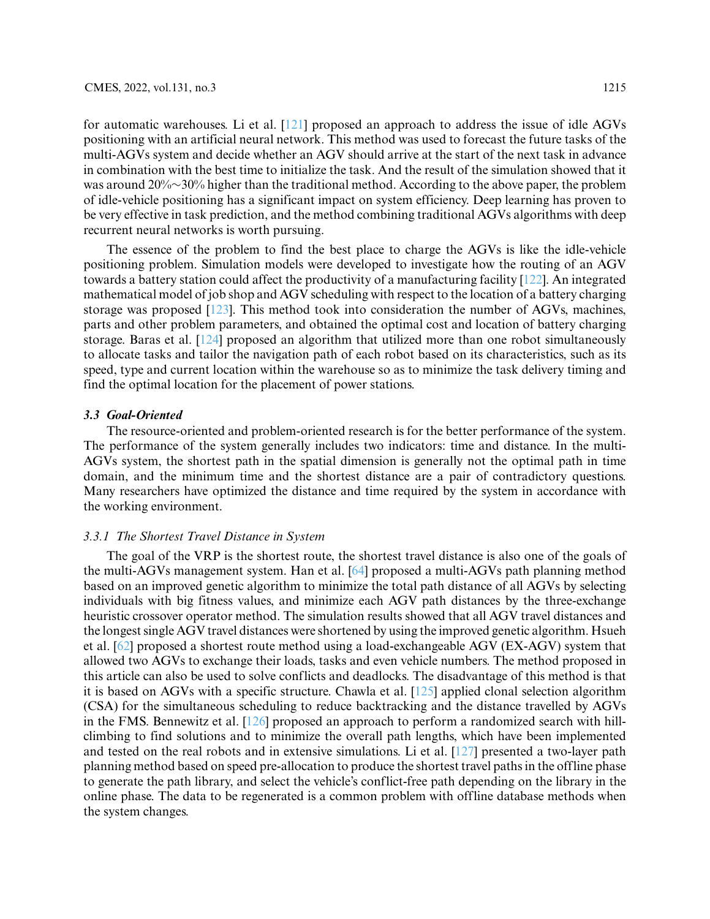for automatic warehouses. Li et al. [\[121\]](#page-29-11) proposed an approach to address the issue of idle AGVs positioning with an artificial neural network. This method was used to forecast the future tasks of the multi-AGVs system and decide whether an AGV should arrive at the start of the next task in advance in combination with the best time to initialize the task. And the result of the simulation showed that it was around 20%∼30% higher than the traditional method. According to the above paper, the problem of idle-vehicle positioning has a significant impact on system efficiency. Deep learning has proven to be very effective in task prediction, and the method combining traditional AGVs algorithms with deep recurrent neural networks is worth pursuing.

The essence of the problem to find the best place to charge the AGVs is like the idle-vehicle positioning problem. Simulation models were developed to investigate how the routing of an AGV towards a battery station could affect the productivity of a manufacturing facility [\[122\]](#page-29-12). An integrated mathematical model of job shop and AGV scheduling with respect to the location of a battery charging storage was proposed [\[123\]](#page-29-13). This method took into consideration the number of AGVs, machines, parts and other problem parameters, and obtained the optimal cost and location of battery charging storage. Baras et al. [\[124\]](#page-29-14) proposed an algorithm that utilized more than one robot simultaneously to allocate tasks and tailor the navigation path of each robot based on its characteristics, such as its speed, type and current location within the warehouse so as to minimize the task delivery timing and find the optimal location for the placement of power stations.

# *3.3 Goal-Oriented*

The resource-oriented and problem-oriented research is for the better performance of the system. The performance of the system generally includes two indicators: time and distance. In the multi-AGVs system, the shortest path in the spatial dimension is generally not the optimal path in time domain, and the minimum time and the shortest distance are a pair of contradictory questions. Many researchers have optimized the distance and time required by the system in accordance with the working environment.

### *3.3.1 The Shortest Travel Distance in System*

The goal of the VRP is the shortest route, the shortest travel distance is also one of the goals of the multi-AGVs management system. Han et al. [\[64\]](#page-26-8) proposed a multi-AGVs path planning method based on an improved genetic algorithm to minimize the total path distance of all AGVs by selecting individuals with big fitness values, and minimize each AGV path distances by the three-exchange heuristic crossover operator method. The simulation results showed that all AGV travel distances and the longest single AGV travel distances were shortened by using the improved genetic algorithm. Hsueh et al. [\[62\]](#page-26-6) proposed a shortest route method using a load-exchangeable AGV (EX-AGV) system that allowed two AGVs to exchange their loads, tasks and even vehicle numbers. The method proposed in this article can also be used to solve conflicts and deadlocks. The disadvantage of this method is that it is based on AGVs with a specific structure. Chawla et al. [\[125\]](#page-29-15) applied clonal selection algorithm (CSA) for the simultaneous scheduling to reduce backtracking and the distance travelled by AGVs in the FMS. Bennewitz et al. [\[126\]](#page-29-16) proposed an approach to perform a randomized search with hillclimbing to find solutions and to minimize the overall path lengths, which have been implemented and tested on the real robots and in extensive simulations. Li et al. [\[127\]](#page-29-17) presented a two-layer path planning method based on speed pre-allocation to produce the shortest travel paths in the offline phase to generate the path library, and select the vehicle's conflict-free path depending on the library in the online phase. The data to be regenerated is a common problem with offline database methods when the system changes.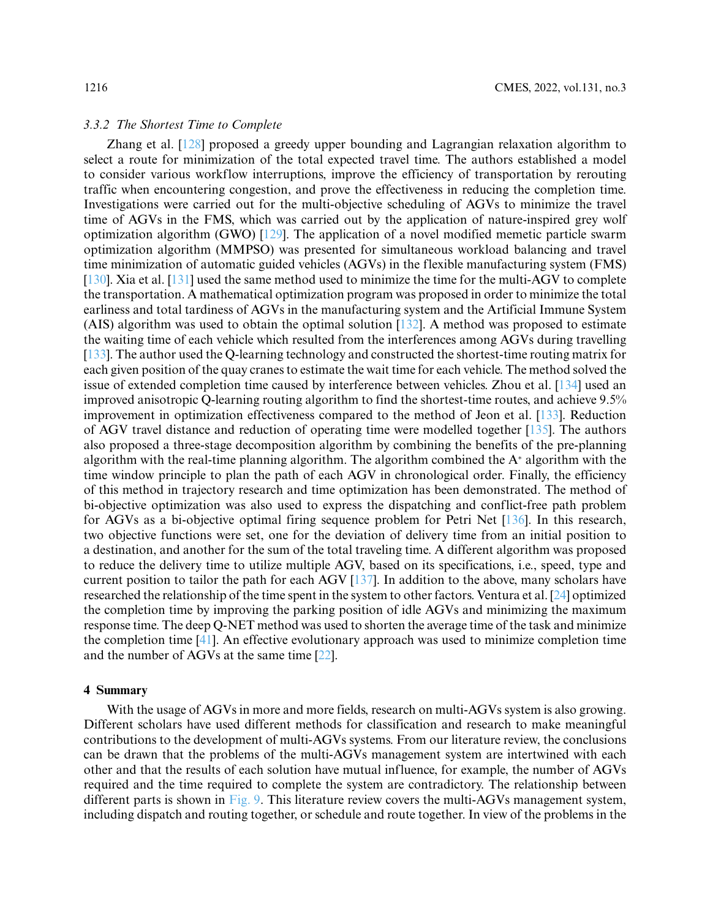# *3.3.2 The Shortest Time to Complete*

Zhang et al. [\[128\]](#page-30-0) proposed a greedy upper bounding and Lagrangian relaxation algorithm to select a route for minimization of the total expected travel time. The authors established a model to consider various workflow interruptions, improve the efficiency of transportation by rerouting traffic when encountering congestion, and prove the effectiveness in reducing the completion time. Investigations were carried out for the multi-objective scheduling of AGVs to minimize the travel time of AGVs in the FMS, which was carried out by the application of nature-inspired grey wolf optimization algorithm (GWO) [\[129\]](#page-30-1). The application of a novel modified memetic particle swarm optimization algorithm (MMPSO) was presented for simultaneous workload balancing and travel time minimization of automatic guided vehicles (AGVs) in the flexible manufacturing system (FMS) [\[130\]](#page-30-2). Xia et al. [\[131\]](#page-30-3) used the same method used to minimize the time for the multi-AGV to complete the transportation. A mathematical optimization program was proposed in order to minimize the total earliness and total tardiness of AGVs in the manufacturing system and the Artificial Immune System (AIS) algorithm was used to obtain the optimal solution [\[132\]](#page-30-4). A method was proposed to estimate the waiting time of each vehicle which resulted from the interferences among AGVs during travelling [\[133\]](#page-30-5). The author used the Q-learning technology and constructed the shortest-time routing matrix for each given position of the quay cranes to estimate the wait time for each vehicle. The method solved the issue of extended completion time caused by interference between vehicles. Zhou et al. [\[134\]](#page-30-6) used an improved anisotropic Q-learning routing algorithm to find the shortest-time routes, and achieve 9.5% improvement in optimization effectiveness compared to the method of Jeon et al. [\[133\]](#page-30-5). Reduction of AGV travel distance and reduction of operating time were modelled together [\[135\]](#page-30-7). The authors also proposed a three-stage decomposition algorithm by combining the benefits of the pre-planning algorithm with the real-time planning algorithm. The algorithm combined the A<sup>∗</sup> algorithm with the time window principle to plan the path of each AGV in chronological order. Finally, the efficiency of this method in trajectory research and time optimization has been demonstrated. The method of bi-objective optimization was also used to express the dispatching and conflict-free path problem for AGVs as a bi-objective optimal firing sequence problem for Petri Net [\[136\]](#page-30-8). In this research, two objective functions were set, one for the deviation of delivery time from an initial position to a destination, and another for the sum of the total traveling time. A different algorithm was proposed to reduce the delivery time to utilize multiple AGV, based on its specifications, i.e., speed, type and current position to tailor the path for each AGV [\[137\]](#page-30-9). In addition to the above, many scholars have researched the relationship of the time spent in the system to other factors. Ventura et al. [\[24\]](#page-24-4) optimized the completion time by improving the parking position of idle AGVs and minimizing the maximum response time. The deep Q-NET method was used to shorten the average time of the task and minimize the completion time [\[41\]](#page-25-3). An effective evolutionary approach was used to minimize completion time and the number of AGVs at the same time [\[22\]](#page-24-2).

# <span id="page-19-0"></span>**4 Summary**

With the usage of AGVs in more and more fields, research on multi-AGVs system is also growing. Different scholars have used different methods for classification and research to make meaningful contributions to the development of multi-AGVs systems. From our literature review, the conclusions can be drawn that the problems of the multi-AGVs management system are intertwined with each other and that the results of each solution have mutual influence, for example, the number of AGVs required and the time required to complete the system are contradictory. The relationship between different parts is shown in [Fig. 9.](#page-16-0) This literature review covers the multi-AGVs management system, including dispatch and routing together, or schedule and route together. In view of the problems in the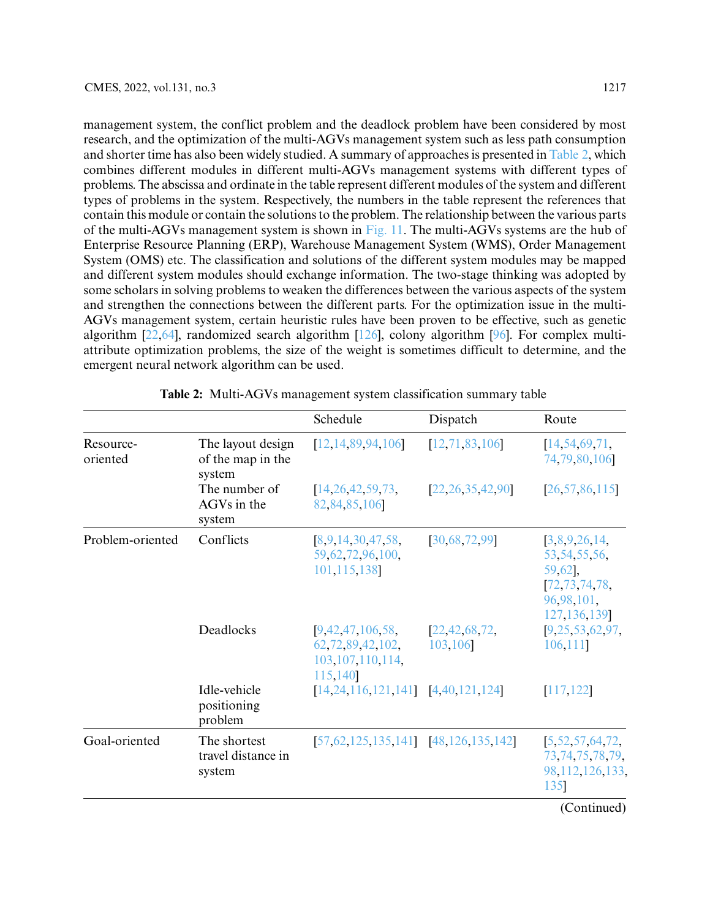management system, the conflict problem and the deadlock problem have been considered by most research, and the optimization of the multi-AGVs management system such as less path consumption and shorter time has also been widely studied. A summary of approaches is presented in [Table 2,](#page-20-0) which combines different modules in different multi-AGVs management systems with different types of problems. The abscissa and ordinate in the table represent different modules of the system and different types of problems in the system. Respectively, the numbers in the table represent the references that contain this module or contain the solutions to the problem. The relationship between the various parts of the multi-AGVs management system is shown in [Fig. 11.](#page-21-1) The multi- $\overrightarrow{AGV}$ s systems are the hub of Enterprise Resource Planning (ERP), Warehouse Management System (WMS), Order Management System (OMS) etc. The classification and solutions of the different system modules may be mapped and different system modules should exchange information. The two-stage thinking was adopted by some scholars in solving problems to weaken the differences between the various aspects of the system and strengthen the connections between the different parts. For the optimization issue in the multi-AGVs management system, certain heuristic rules have been proven to be effective, such as genetic algorithm [\[22](#page-24-2)[,64\]](#page-26-8), randomized search algorithm [\[126\]](#page-29-16), colony algorithm [\[96\]](#page-28-3). For complex multiattribute optimization problems, the size of the weight is sometimes difficult to determine, and the emergent neural network algorithm can be used.

|                       |                                                  | Schedule                                                               | Dispatch                    | Route                                                                                            |
|-----------------------|--------------------------------------------------|------------------------------------------------------------------------|-----------------------------|--------------------------------------------------------------------------------------------------|
| Resource-<br>oriented | The layout design<br>of the map in the<br>system | [12, 14, 89, 94, 106]                                                  | [12, 71, 83, 106]           | [14, 54, 69, 71,<br>74, 79, 80, 106                                                              |
|                       | The number of<br>AGVs in the<br>system           | [14, 26, 42, 59, 73,<br>82,84,85,106                                   | [22, 26, 35, 42, 90]        | [26, 57, 86, 115]                                                                                |
| Problem-oriented      | Conflicts                                        | [8,9,14,30,47,58]<br>59, 62, 72, 96, 100,<br>101,115,138               | [30,68,72,99]               | [3,8,9,26,14,<br>53, 54, 55, 56,<br>$59,62$ ,<br>[72, 73, 74, 78,<br>96,98,101,<br>127, 136, 139 |
|                       | Deadlocks                                        | [9,42,47,106,58]<br>62,72,89,42,102,<br>103, 107, 110, 114,<br>115,140 | [22, 42, 68, 72,<br>103,106 | [9,25,53,62,97]<br>106,111]                                                                      |
|                       | Idle-vehicle<br>positioning<br>problem           | $[14, 24, 116, 121, 141]$ $[4, 40, 121, 124]$                          |                             | [117, 122]                                                                                       |
| Goal-oriented         | The shortest<br>travel distance in<br>system     | $[57,62,125,135,141]$ $[48,126,135,142]$                               |                             | [5, 52, 57, 64, 72,<br>73, 74, 75, 78, 79,<br>98, 112, 126, 133,<br>135                          |
|                       |                                                  |                                                                        |                             | (Continued)                                                                                      |

<span id="page-20-0"></span>

|  |  |  |  |  | Table 2: Multi-AGVs management system classification summary table |
|--|--|--|--|--|--------------------------------------------------------------------|
|--|--|--|--|--|--------------------------------------------------------------------|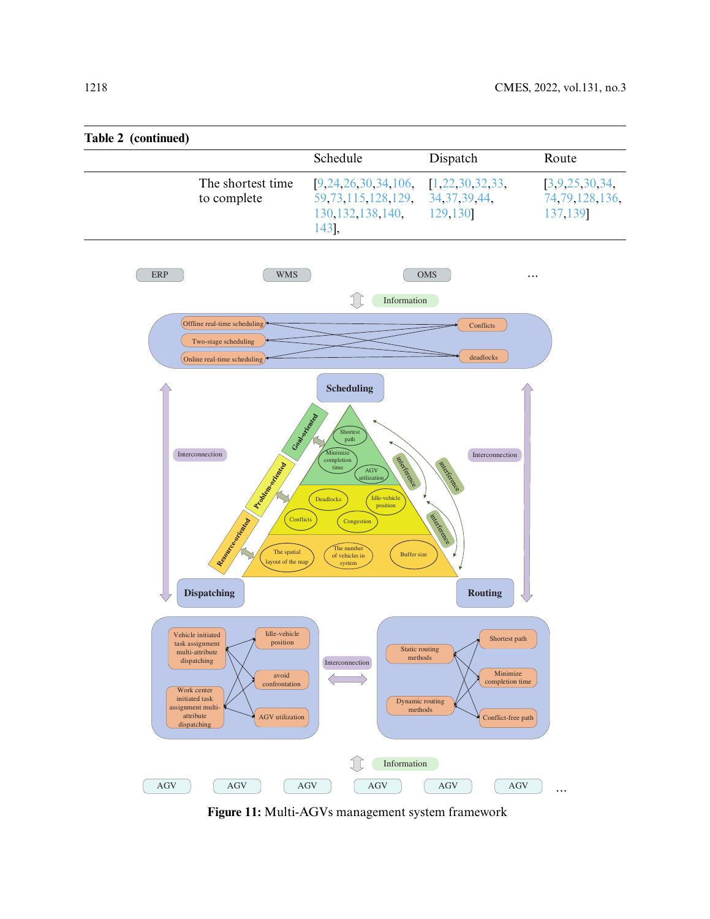<span id="page-21-0"></span>

<span id="page-21-1"></span>**Figure 11:** Multi-AGVs management system framework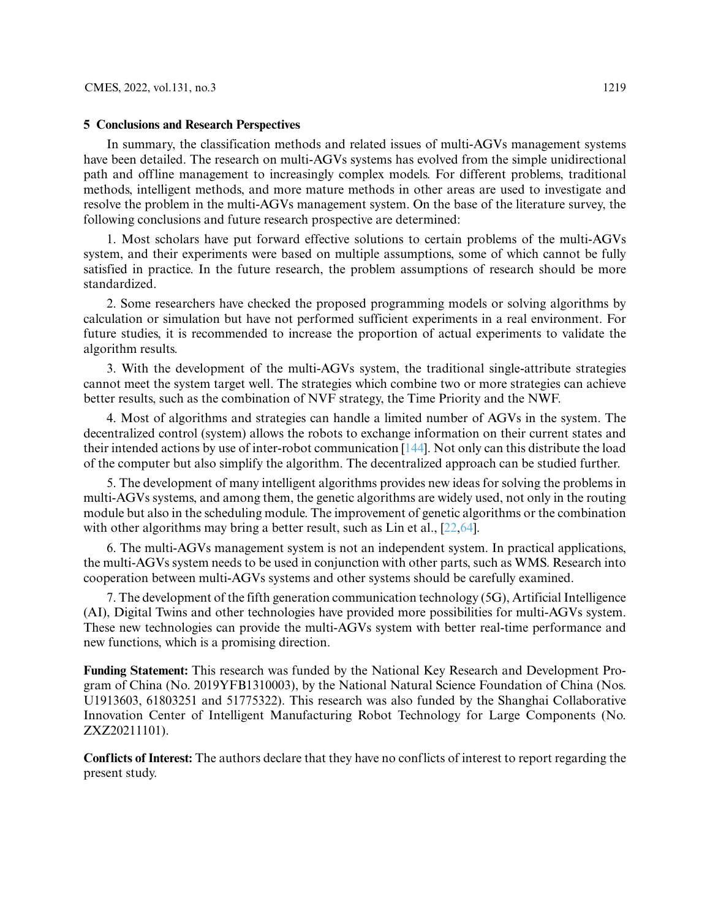# **5 Conclusions and Research Perspectives**

In summary, the classification methods and related issues of multi-AGVs management systems have been detailed. The research on multi-AGVs systems has evolved from the simple unidirectional path and offline management to increasingly complex models. For different problems, traditional methods, intelligent methods, and more mature methods in other areas are used to investigate and resolve the problem in the multi-AGVs management system. On the base of the literature survey, the following conclusions and future research prospective are determined:

1. Most scholars have put forward effective solutions to certain problems of the multi-AGVs system, and their experiments were based on multiple assumptions, some of which cannot be fully satisfied in practice. In the future research, the problem assumptions of research should be more standardized.

2. Some researchers have checked the proposed programming models or solving algorithms by calculation or simulation but have not performed sufficient experiments in a real environment. For future studies, it is recommended to increase the proportion of actual experiments to validate the algorithm results.

3. With the development of the multi-AGVs system, the traditional single-attribute strategies cannot meet the system target well. The strategies which combine two or more strategies can achieve better results, such as the combination of NVF strategy, the Time Priority and the NWF.

4. Most of algorithms and strategies can handle a limited number of AGVs in the system. The decentralized control (system) allows the robots to exchange information on their current states and their intended actions by use of inter-robot communication [\[144\]](#page-30-16). Not only can this distribute the load of the computer but also simplify the algorithm. The decentralized approach can be studied further.

5. The development of many intelligent algorithms provides new ideas for solving the problems in multi-AGVs systems, and among them, the genetic algorithms are widely used, not only in the routing module but also in the scheduling module. The improvement of genetic algorithms or the combination with other algorithms may bring a better result, such as Lin et al., [\[22,](#page-24-2)[64\]](#page-26-8).

6. The multi-AGVs management system is not an independent system. In practical applications, the multi-AGVs system needs to be used in conjunction with other parts, such as WMS. Research into cooperation between multi-AGVs systems and other systems should be carefully examined.

7. The development of the fifth generation communication technology (5G), Artificial Intelligence (AI), Digital Twins and other technologies have provided more possibilities for multi-AGVs system. These new technologies can provide the multi-AGVs system with better real-time performance and new functions, which is a promising direction.

**Funding Statement:** This research was funded by the National Key Research and Development Program of China (No. 2019YFB1310003), by the National Natural Science Foundation of China (Nos. U1913603, 61803251 and 51775322). This research was also funded by the Shanghai Collaborative Innovation Center of Intelligent Manufacturing Robot Technology for Large Components (No. ZXZ20211101).

**Conflicts of Interest:** The authors declare that they have no conflicts of interest to report regarding the present study.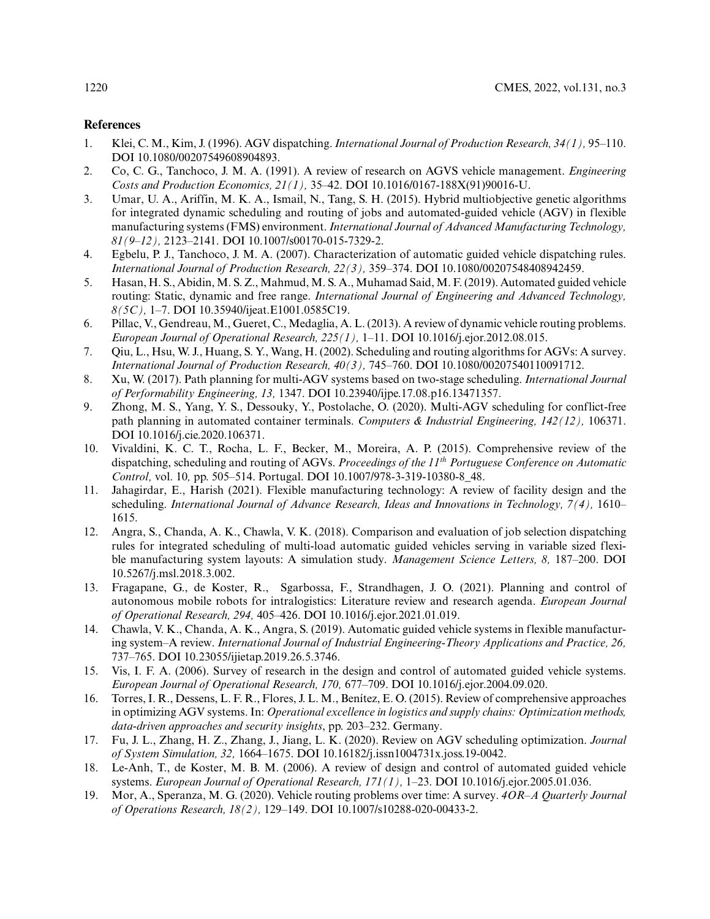# **References**

- <span id="page-23-0"></span>1. Klei, C. M., Kim, J. (1996). AGV dispatching. *International Journal of Production Research, 34(1),* 95–110. DOI [10.1080/00207549608904893.](https://doi.org/10.1080/00207549608904893)
- <span id="page-23-16"></span>2. Co, C. G., Tanchoco, J. M. A. (1991). A review of research on AGVS vehicle management. *Engineering Costs and Production Economics, 21(1),* 35–42. DOI [10.1016/0167-188X\(91\)90016-U.](https://doi.org/10.1016/0167-188X(91)90016-U)
- <span id="page-23-1"></span>3. Umar, U. A., Ariffin, M. K. A., Ismail, N., Tang, S. H. (2015). Hybrid multiobjective genetic algorithms for integrated dynamic scheduling and routing of jobs and automated-guided vehicle (AGV) in flexible manufacturing systems (FMS) environment. *International Journal of Advanced Manufacturing Technology, 81(9–12),* 2123–2141. DOI [10.1007/s00170-015-7329-2.](https://doi.org/10.1007/s00170-015-7329-2)
- <span id="page-23-2"></span>4. Egbelu, P. J., Tanchoco, J. M. A. (2007). Characterization of automatic guided vehicle dispatching rules. *International Journal of Production Research, 22(3),* 359–374. DOI [10.1080/00207548408942459.](https://doi.org/10.1080/00207548408942459)
- <span id="page-23-3"></span>5. Hasan, H. S., Abidin, M. S. Z., Mahmud, M. S. A., Muhamad Said, M. F. (2019). Automated guided vehicle routing: Static, dynamic and free range. *International Journal of Engineering and Advanced Technology, 8(5C),* 1–7. DOI [10.35940/ijeat.E1001.0585C19.](https://doi.org/10.35940/ijeat.E1001.0585C19)
- 6. Pillac, V., Gendreau, M., Gueret, C., Medaglia, A. L. (2013). A review of dynamic vehicle routing problems. *European Journal of Operational Research, 225(1),* 1–11. DOI [10.1016/j.ejor.2012.08.015.](https://doi.org/10.1016/j.ejor.2012.08.015)
- <span id="page-23-4"></span>7. Qiu, L., Hsu, W. J., Huang, S. Y., Wang, H. (2002). Scheduling and routing algorithms for AGVs: A survey. *International Journal of Production Research, 40(3),* 745–760. DOI [10.1080/00207540110091712.](https://doi.org/10.1080/00207540110091712)
- <span id="page-23-5"></span>8. Xu, W. (2017). Path planning for multi-AGV systems based on two-stage scheduling. *International Journal of Performability Engineering, 13,* 1347. DOI [10.23940/ijpe.17.08.p16.13471357.](https://doi.org/10.23940/ijpe.17.08.p16.13471357)
- <span id="page-23-6"></span>9. Zhong, M. S., Yang, Y. S., Dessouky, Y., Postolache, O. (2020). Multi-AGV scheduling for conflict-free path planning in automated container terminals. *Computers & Industrial Engineering, 142(12),* 106371. DOI [10.1016/j.cie.2020.106371.](https://doi.org/10.1016/j.cie.2020.106371)
- <span id="page-23-7"></span>10. Vivaldini, K. C. T., Rocha, L. F., Becker, M., Moreira, A. P. (2015). Comprehensive review of the dispatching, scheduling and routing of AGVs. *Proceedings of the 11th Portuguese Conference on Automatic Control,* vol. 10*,* pp. 505–514. Portugal. DOI [10.1007/978-3-319-10380-8\\_48.](https://doi.org/10.1007/978-3-319-10380-8_48)
- <span id="page-23-8"></span>11. Jahagirdar, E., Harish (2021). Flexible manufacturing technology: A review of facility design and the scheduling. *International Journal of Advance Research, Ideas and Innovations in Technology, 7(4),* 1610– 1615.
- <span id="page-23-9"></span>12. Angra, S., Chanda, A. K., Chawla, V. K. (2018). Comparison and evaluation of job selection dispatching rules for integrated scheduling of multi-load automatic guided vehicles serving in variable sized flexible manufacturing system layouts: A simulation study. *Management Science Letters, 8,* 187–200. DOI [10.5267/j.msl.2018.3.002.](https://doi.org/10.5267/j.msl.2018.3.002)
- <span id="page-23-10"></span>13. Fragapane, G., de Koster, R., Sgarbossa, F., Strandhagen, J. O. (2021). Planning and control of autonomous mobile robots for intralogistics: Literature review and research agenda. *European Journal of Operational Research, 294,* 405–426. DOI [10.1016/j.ejor.2021.01.019.](https://doi.org/10.1016/j.ejor.2021.01.019)
- <span id="page-23-11"></span>14. Chawla, V. K., Chanda, A. K., Angra, S. (2019). Automatic guided vehicle systems in flexible manufacturing system–A review. *International Journal of Industrial Engineering-Theory Applications and Practice, 26,* 737–765. DOI [10.23055/ijietap.2019.26.5.3746.](https://doi.org/10.23055/ijietap.2019.26.5.3746)
- <span id="page-23-12"></span>15. Vis, I. F. A. (2006). Survey of research in the design and control of automated guided vehicle systems. *European Journal of Operational Research, 170,* 677–709. DOI [10.1016/j.ejor.2004.09.020.](https://doi.org/10.1016/j.ejor.2004.09.020)
- <span id="page-23-13"></span>16. Torres, I. R., Dessens, L. F. R., Flores, J. L. M., Benítez, E. O. (2015). Review of comprehensive approaches in optimizing AGV systems. In: *Operational excellence in logistics and supply chains: Optimization methods, data-driven approaches and security insights*, pp. 203–232. Germany.
- <span id="page-23-14"></span>17. Fu, J. L., Zhang, H. Z., Zhang, J., Jiang, L. K. (2020). Review on AGV scheduling optimization. *Journal of System Simulation, 32,* 1664–1675. DOI [10.16182/j.issn1004731x.joss.19-0042.](https://doi.org/10.16182/j.issn1004731x.joss.19-0042)
- <span id="page-23-15"></span>18. Le-Anh, T., de Koster, M. B. M. (2006). A review of design and control of automated guided vehicle systems. *European Journal of Operational Research, 171(1),* 1–23. DOI [10.1016/j.ejor.2005.01.036.](https://doi.org/10.1016/j.ejor.2005.01.036)
- 19. Mor, A., Speranza, M. G. (2020). Vehicle routing problems over time: A survey. *4OR–A Quarterly Journal of Operations Research, 18(2),* 129–149. DOI [10.1007/s10288-020-00433-2.](https://doi.org/10.1007/s10288-020-00433-2)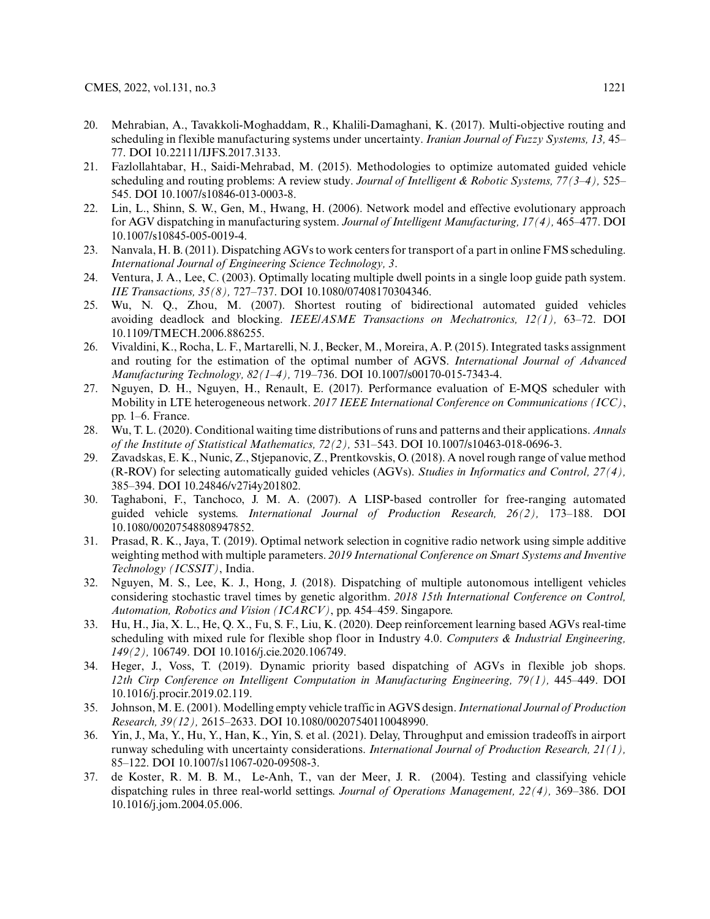- <span id="page-24-0"></span>20. Mehrabian, A., Tavakkoli-Moghaddam, R., Khalili-Damaghani, K. (2017). Multi-objective routing and scheduling in flexible manufacturing systems under uncertainty. *Iranian Journal of Fuzzy Systems, 13,* 45– 77. DOI [10.22111/IJFS.2017.3133.](https://doi.org/10.22111/IJFS.2017.3133)
- <span id="page-24-1"></span>21. Fazlollahtabar, H., Saidi-Mehrabad, M. (2015). Methodologies to optimize automated guided vehicle scheduling and routing problems: A review study. *Journal of Intelligent & Robotic Systems, 77(3–4),* 525– 545. DOI [10.1007/s10846-013-0003-8.](https://doi.org/10.1007/s10846-013-0003-8)
- <span id="page-24-2"></span>22. Lin, L., Shinn, S. W., Gen, M., Hwang, H. (2006). Network model and effective evolutionary approach for AGV dispatching in manufacturing system. *Journal of Intelligent Manufacturing, 17(4),* 465–477. DOI [10.1007/s10845-005-0019-4.](https://doi.org/10.1007/s10845-005-0019-4)
- <span id="page-24-3"></span>23. Nanvala, H. B. (2011). Dispatching AGVs to work centers for transport of a part in online FMS scheduling. *International Journal of Engineering Science Technology, 3*.
- <span id="page-24-4"></span>24. Ventura, J. A., Lee, C. (2003). Optimally locating multiple dwell points in a single loop guide path system. *IIE Transactions, 35(8),* 727–737. DOI [10.1080/07408170304346.](https://doi.org/10.1080/07408170304346)
- <span id="page-24-5"></span>25. Wu, N. Q., Zhou, M. (2007). Shortest routing of bidirectional automated guided vehicles avoiding deadlock and blocking. *IEEE/ASME Transactions on Mechatronics, 12(1),* 63–72. DOI [10.1109/TMECH.2006.886255.](https://doi.org/10.1109/TMECH.2006.886255)
- <span id="page-24-6"></span>26. Vivaldini, K., Rocha, L. F., Martarelli, N. J., Becker, M., Moreira, A. P. (2015). Integrated tasks assignment and routing for the estimation of the optimal number of AGVS. *International Journal of Advanced Manufacturing Technology, 82(1–4),* 719–736. DOI [10.1007/s00170-015-7343-4.](https://doi.org/10.1007/s00170-015-7343-4)
- <span id="page-24-7"></span>27. Nguyen, D. H., Nguyen, H., Renault, E. (2017). Performance evaluation of E-MQS scheduler with Mobility in LTE heterogeneous network. *2017 IEEE International Conference on Communications (ICC)*, pp. 1–6. France.
- <span id="page-24-8"></span>28. Wu, T. L. (2020). Conditional waiting time distributions of runs and patterns and their applications. *Annals of the Institute of Statistical Mathematics, 72(2),* 531–543. DOI [10.1007/s10463-018-0696-3.](https://doi.org/10.1007/s10463-018-0696-3)
- <span id="page-24-9"></span>29. Zavadskas, E. K., Nunic, Z., Stjepanovic, Z., Prentkovskis, O. (2018). A novel rough range of value method (R-ROV) for selecting automatically guided vehicles (AGVs). *Studies in Informatics and Control, 27(4),* 385–394. DOI [10.24846/v27i4y201802.](https://doi.org/10.24846/v27i4y201802)
- <span id="page-24-10"></span>30. Taghaboni, F., Tanchoco, J. M. A. (2007). A LISP-based controller for free-ranging automated guided vehicle systems. *International Journal of Production Research, 26(2),* 173–188. DOI [10.1080/00207548808947852.](https://doi.org/10.1080/00207548808947852)
- <span id="page-24-11"></span>31. Prasad, R. K., Jaya, T. (2019). Optimal network selection in cognitive radio network using simple additive weighting method with multiple parameters. *2019 International Conference on Smart Systems and Inventive Technology (ICSSIT)*, India.
- <span id="page-24-12"></span>32. Nguyen, M. S., Lee, K. J., Hong, J. (2018). Dispatching of multiple autonomous intelligent vehicles considering stochastic travel times by genetic algorithm. *2018 15th International Conference on Control, Automation, Robotics and Vision (ICARCV)*, pp. 454–459. Singapore.
- <span id="page-24-13"></span>33. Hu, H., Jia, X. L., He, Q. X., Fu, S. F., Liu, K. (2020). Deep reinforcement learning based AGVs real-time scheduling with mixed rule for flexible shop floor in Industry 4.0. *Computers & Industrial Engineering, 149(2),* 106749. DOI [10.1016/j.cie.2020.106749.](https://doi.org/10.1016/j.cie.2020.106749)
- <span id="page-24-14"></span>34. Heger, J., Voss, T. (2019). Dynamic priority based dispatching of AGVs in flexible job shops. *12th Cirp Conference on Intelligent Computation in Manufacturing Engineering, 79(1),* 445–449. DOI [10.1016/j.procir.2019.02.119.](https://doi.org/10.1016/j.procir.2019.02.119)
- <span id="page-24-15"></span>35. Johnson, M. E. (2001). Modelling empty vehicle traffic in AGVS design.*International Journal of Production Research, 39(12),* 2615–2633. DOI [10.1080/00207540110048990.](https://doi.org/10.1080/00207540110048990)
- <span id="page-24-16"></span>36. Yin, J., Ma, Y., Hu, Y., Han, K., Yin, S. et al. (2021). Delay, Throughput and emission tradeoffs in airport runway scheduling with uncertainty considerations. *International Journal of Production Research, 21(1),* 85–122. DOI [10.1007/s11067-020-09508-3.](https://doi.org/10.1007/s11067-020-09508-3)
- <span id="page-24-17"></span>37. de Koster, R. M. B. M., Le-Anh, T., van der Meer, J. R. (2004). Testing and classifying vehicle dispatching rules in three real-world settings. *Journal of Operations Management, 22(4),* 369–386. DOI [10.1016/j.jom.2004.05.006.](https://doi.org/10.1016/j.jom.2004.05.006)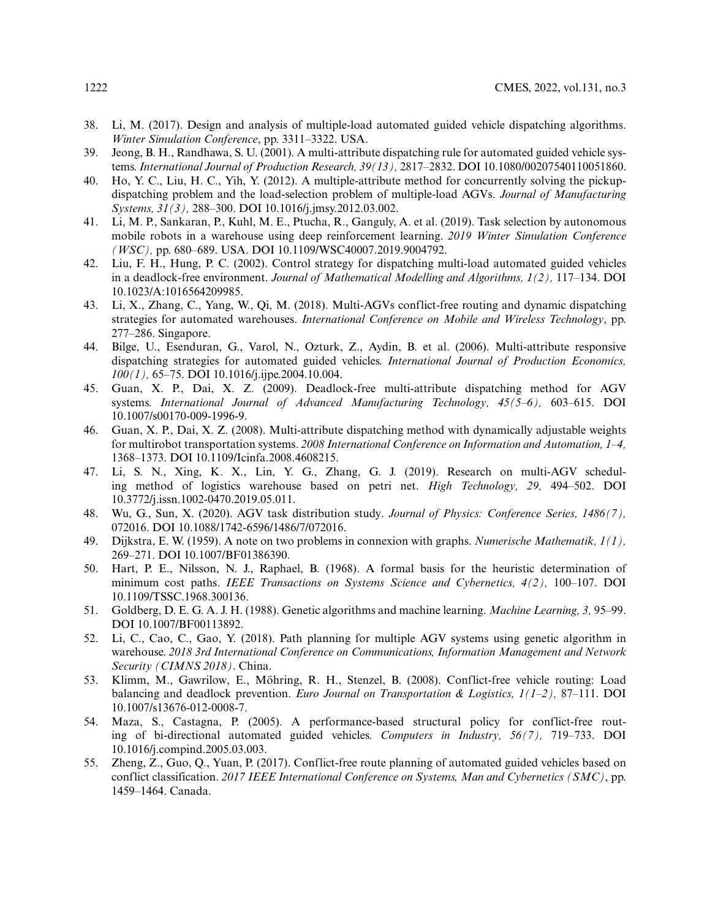- <span id="page-25-0"></span>38. Li, M. (2017). Design and analysis of multiple-load automated guided vehicle dispatching algorithms. *Winter Simulation Conference*, pp. 3311–3322. USA.
- <span id="page-25-1"></span>39. Jeong, B. H., Randhawa, S. U. (2001). A multi-attribute dispatching rule for automated guided vehicle systems. *International Journal of Production Research, 39(13),* 2817–2832. DOI [10.1080/00207540110051860.](https://doi.org/10.1080/00207540110051860)
- <span id="page-25-2"></span>40. Ho, Y. C., Liu, H. C., Yih, Y. (2012). A multiple-attribute method for concurrently solving the pickupdispatching problem and the load-selection problem of multiple-load AGVs. *Journal of Manufacturing Systems, 31(3),* 288–300. DOI [10.1016/j.jmsy.2012.03.002.](https://doi.org/10.1016/j.jmsy.2012.03.002)
- <span id="page-25-3"></span>41. Li, M. P., Sankaran, P., Kuhl, M. E., Ptucha, R., Ganguly, A. et al. (2019). Task selection by autonomous mobile robots in a warehouse using deep reinforcement learning. *2019 Winter Simulation Conference (WSC),* pp. 680–689. USA. DOI [10.1109/WSC40007.2019.9004792.](https://doi.org/10.1109/WSC40007.2019.9004792)
- <span id="page-25-4"></span>42. Liu, F. H., Hung, P. C. (2002). Control strategy for dispatching multi-load automated guided vehicles in a deadlock-free environment. *Journal of Mathematical Modelling and Algorithms, 1(2),* 117–134. DOI [10.1023/A:1016564209985.](https://doi.org/10.1023/A:1016564209985)
- <span id="page-25-5"></span>43. Li, X., Zhang, C., Yang, W., Qi, M. (2018). Multi-AGVs conflict-free routing and dynamic dispatching strategies for automated warehouses. *International Conference on Mobile and Wireless Technology*, pp. 277–286. Singapore.
- <span id="page-25-6"></span>44. Bilge, U., Esenduran, G., Varol, N., Ozturk, Z., Aydin, B. et al. (2006). Multi-attribute responsive dispatching strategies for automated guided vehicles. *International Journal of Production Economics, 100(1),* 65–75. DOI [10.1016/j.ijpe.2004.10.004.](https://doi.org/10.1016/j.ijpe.2004.10.004)
- <span id="page-25-7"></span>45. Guan, X. P., Dai, X. Z. (2009). Deadlock-free multi-attribute dispatching method for AGV systems. *International Journal of Advanced Manufacturing Technology, 45(5–6),* 603–615. DOI [10.1007/s00170-009-1996-9.](https://doi.org/10.1007/s00170-009-1996-9)
- <span id="page-25-8"></span>46. Guan, X. P., Dai, X. Z. (2008). Multi-attribute dispatching method with dynamically adjustable weights for multirobot transportation systems. *2008 International Conference on Information and Automation, 1–4,* 1368–1373. DOI [10.1109/Icinfa.2008.4608215.](https://doi.org/10.1109/Icinfa.2008.4608215)
- <span id="page-25-9"></span>47. Li, S. N., Xing, K. X., Lin, Y. G., Zhang, G. J. (2019). Research on multi-AGV scheduling method of logistics warehouse based on petri net. *High Technology, 29,* 494–502. DOI [10.3772/j.issn.1002-0470.2019.05.011.](https://doi.org/10.3772/j.issn.1002-0470.2019.05.011)
- <span id="page-25-10"></span>48. Wu, G., Sun, X. (2020). AGV task distribution study. *Journal of Physics: Conference Series, 1486(7),* 072016. DOI [10.1088/1742-6596/1486/7/072016.](https://doi.org/10.1088/1742-6596/1486/7/072016)
- <span id="page-25-11"></span>49. Dijkstra, E. W. (1959). A note on two problems in connexion with graphs. *Numerische Mathematik, 1(1),* 269–271. DOI [10.1007/BF01386390.](https://doi.org/10.1007/BF01386390)
- <span id="page-25-12"></span>50. Hart, P. E., Nilsson, N. J., Raphael, B. (1968). A formal basis for the heuristic determination of minimum cost paths. *IEEE Transactions on Systems Science and Cybernetics, 4(2),* 100–107. DOI [10.1109/TSSC.1968.300136.](https://doi.org/10.1109/TSSC.1968.300136)
- <span id="page-25-13"></span>51. Goldberg, D. E. G. A. J. H. (1988). Genetic algorithms and machine learning. *Machine Learning, 3,* 95–99. DOI [10.1007/BF00113892.](https://doi.org/10.1007/BF00113892)
- <span id="page-25-14"></span>52. Li, C., Cao, C., Gao, Y. (2018). Path planning for multiple AGV systems using genetic algorithm in warehouse. *2018 3rd International Conference on Communications, Information Management and Network Security (CIMNS 2018)*. China.
- <span id="page-25-15"></span>53. Klimm, M., Gawrilow, E., Möhring, R. H., Stenzel, B. (2008). Conflict-free vehicle routing: Load balancing and deadlock prevention. *Euro Journal on Transportation & Logistics, 1(1–2),* 87–111. DOI [10.1007/s13676-012-0008-7.](https://doi.org/10.1007/s13676-012-0008-7)
- <span id="page-25-16"></span>54. Maza, S., Castagna, P. (2005). A performance-based structural policy for conflict-free routing of bi-directional automated guided vehicles. *Computers in Industry, 56(7),* 719–733. DOI [10.1016/j.compind.2005.03.003.](https://doi.org/10.1016/j.compind.2005.03.003)
- <span id="page-25-17"></span>55. Zheng, Z., Guo, Q., Yuan, P. (2017). Conflict-free route planning of automated guided vehicles based on conflict classification. *2017 IEEE International Conference on Systems, Man and Cybernetics (SMC)*, pp. 1459–1464. Canada.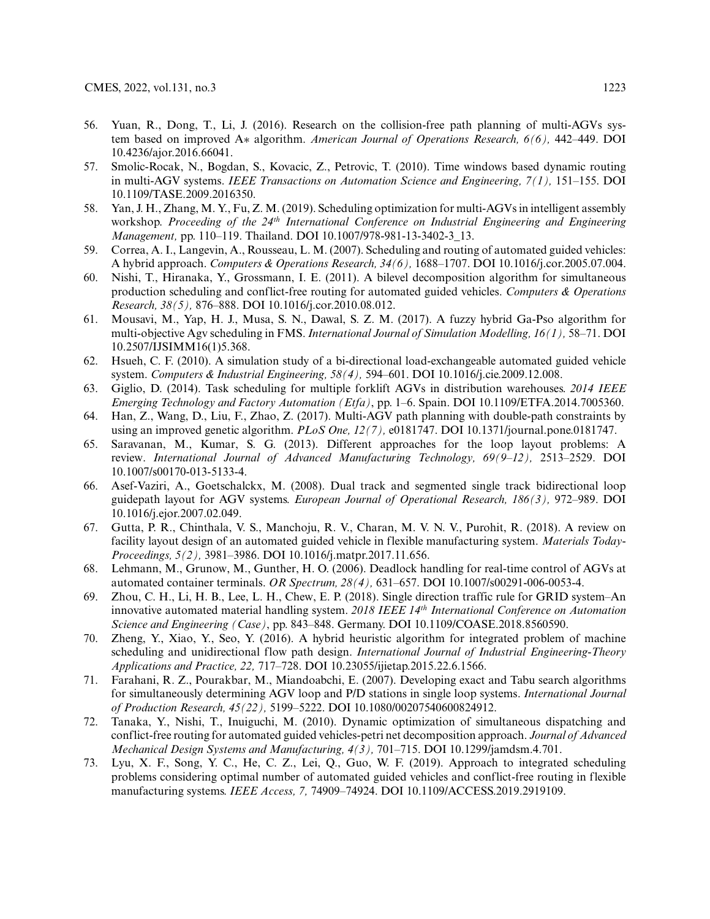- <span id="page-26-0"></span>56. Yuan, R., Dong, T., Li, J. (2016). Research on the collision-free path planning of multi-AGVs system based on improved A∗ algorithm. *American Journal of Operations Research, 6(6),* 442–449. DOI [10.4236/ajor.2016.66041.](https://doi.org/10.4236/ajor.2016.66041)
- <span id="page-26-1"></span>57. Smolic-Rocak, N., Bogdan, S., Kovacic, Z., Petrovic, T. (2010). Time windows based dynamic routing in multi-AGV systems. *IEEE Transactions on Automation Science and Engineering, 7(1),* 151–155. DOI [10.1109/TASE.2009.2016350.](https://doi.org/10.1109/TASE.2009.2016350)
- <span id="page-26-2"></span>58. Yan, J. H., Zhang, M. Y., Fu, Z. M. (2019). Scheduling optimization for multi-AGVs in intelligent assembly workshop. *Proceeding of the 24th International Conference on Industrial Engineering and Engineering Management,* pp. 110–119. Thailand. DOI [10.1007/978-981-13-3402-3\\_13.](https://doi.org/10.1007/978-981-13-3402-3_13.)
- <span id="page-26-3"></span>59. Correa, A. I., Langevin, A., Rousseau, L. M. (2007). Scheduling and routing of automated guided vehicles: A hybrid approach. *Computers & Operations Research, 34(6),* 1688–1707. DOI [10.1016/j.cor.2005.07.004.](https://doi.org/10.1016/j.cor.2005.07.004)
- <span id="page-26-4"></span>60. Nishi, T., Hiranaka, Y., Grossmann, I. E. (2011). A bilevel decomposition algorithm for simultaneous production scheduling and conflict-free routing for automated guided vehicles. *Computers & Operations Research, 38(5),* 876–888. DOI [10.1016/j.cor.2010.08.012.](https://doi.org/10.1016/j.cor.2010.08.012)
- <span id="page-26-5"></span>61. Mousavi, M., Yap, H. J., Musa, S. N., Dawal, S. Z. M. (2017). A fuzzy hybrid Ga-Pso algorithm for multi-objective Agv scheduling in FMS. *International Journal of Simulation Modelling, 16(1),* 58–71. DOI [10.2507/IJSIMM16\(1\)5.368.](https://doi.org/10.2507/IJSIMM16(1)5.368)
- <span id="page-26-6"></span>62. Hsueh, C. F. (2010). A simulation study of a bi-directional load-exchangeable automated guided vehicle system. *Computers & Industrial Engineering, 58(4),* 594–601. DOI [10.1016/j.cie.2009.12.008.](https://doi.org/10.1016/j.cie.2009.12.008)
- <span id="page-26-7"></span>63. Giglio, D. (2014). Task scheduling for multiple forklift AGVs in distribution warehouses. *2014 IEEE Emerging Technology and Factory Automation (Etfa)*, pp. 1–6. Spain. DOI [10.1109/ETFA.2014.7005360.](https://doi.org/10.1109/ETFA.2014.7005360)
- <span id="page-26-8"></span>64. Han, Z., Wang, D., Liu, F., Zhao, Z. (2017). Multi-AGV path planning with double-path constraints by using an improved genetic algorithm. *PLoS One, 12(7),* e0181747. DOI [10.1371/journal.pone.0181747.](https://doi.org/10.1371/journal.pone.0181747)
- <span id="page-26-9"></span>65. Saravanan, M., Kumar, S. G. (2013). Different approaches for the loop layout problems: A review. *International Journal of Advanced Manufacturing Technology, 69(9–12),* 2513–2529. DOI [10.1007/s00170-013-5133-4.](https://doi.org/10.1007/s00170-013-5133-4)
- <span id="page-26-10"></span>66. Asef-Vaziri, A., Goetschalckx, M. (2008). Dual track and segmented single track bidirectional loop guidepath layout for AGV systems. *European Journal of Operational Research, 186(3),* 972–989. DOI [10.1016/j.ejor.2007.02.049.](https://doi.org/10.1016/j.ejor.2007.02.049)
- <span id="page-26-11"></span>67. Gutta, P. R., Chinthala, V. S., Manchoju, R. V., Charan, M. V. N. V., Purohit, R. (2018). A review on facility layout design of an automated guided vehicle in flexible manufacturing system. *Materials Today-Proceedings, 5(2),* 3981–3986. DOI [10.1016/j.matpr.2017.11.656.](https://doi.org/10.1016/j.matpr.2017.11.656)
- <span id="page-26-12"></span>68. Lehmann, M., Grunow, M., Gunther, H. O. (2006). Deadlock handling for real-time control of AGVs at automated container terminals. *OR Spectrum, 28(4),* 631–657. DOI [10.1007/s00291-006-0053-4.](https://doi.org/10.1007/s00291-006-0053-4)
- <span id="page-26-13"></span>69. Zhou, C. H., Li, H. B., Lee, L. H., Chew, E. P. (2018). Single direction traffic rule for GRID system–An innovative automated material handling system. *2018 IEEE 14th International Conference on Automation Science and Engineering (Case)*, pp. 843–848. Germany. DOI [10.1109/COASE.2018.8560590.](https://doi.org/10.1109/COASE.2018.8560590)
- <span id="page-26-14"></span>70. Zheng, Y., Xiao, Y., Seo, Y. (2016). A hybrid heuristic algorithm for integrated problem of machine scheduling and unidirectional flow path design. *International Journal of Industrial Engineering-Theory Applications and Practice, 22,* 717–728. DOI [10.23055/ijietap.2015.22.6.1566.](https://doi.org/10.23055/ijietap.2015.22.6.1566)
- <span id="page-26-15"></span>71. Farahani, R. Z., Pourakbar, M., Miandoabchi, E. (2007). Developing exact and Tabu search algorithms for simultaneously determining AGV loop and P/D stations in single loop systems. *International Journal of Production Research, 45(22),* 5199–5222. DOI [10.1080/00207540600824912.](https://doi.org/10.1080/00207540600824912)
- <span id="page-26-16"></span>72. Tanaka, Y., Nishi, T., Inuiguchi, M. (2010). Dynamic optimization of simultaneous dispatching and conflict-free routing for automated guided vehicles-petri net decomposition approach. *Journal of Advanced Mechanical Design Systems and Manufacturing, 4(3),* 701–715. DOI [10.1299/jamdsm.4.701.](https://doi.org/10.1299/jamdsm.4.701)
- <span id="page-26-17"></span>73. Lyu, X. F., Song, Y. C., He, C. Z., Lei, Q., Guo, W. F. (2019). Approach to integrated scheduling problems considering optimal number of automated guided vehicles and conflict-free routing in flexible manufacturing systems. *IEEE Access, 7,* 74909–74924. DOI [10.1109/ACCESS.2019.2919109.](https://doi.org/10.1109/ACCESS.2019.2919109)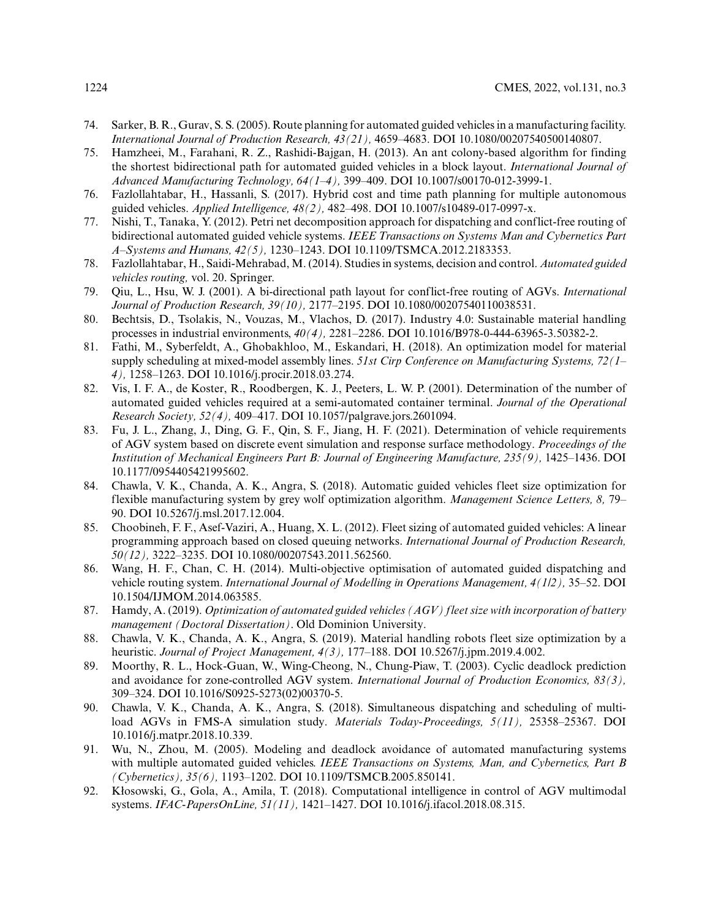- <span id="page-27-0"></span>74. Sarker, B. R., Gurav, S. S. (2005). Route planning for automated guided vehicles in a manufacturing facility. *International Journal of Production Research, 43(21),* 4659–4683. DOI [10.1080/00207540500140807.](https://doi.org/10.1080/00207540500140807)
- <span id="page-27-1"></span>75. Hamzheei, M., Farahani, R. Z., Rashidi-Bajgan, H. (2013). An ant colony-based algorithm for finding the shortest bidirectional path for automated guided vehicles in a block layout. *International Journal of Advanced Manufacturing Technology, 64(1–4),* 399–409. DOI [10.1007/s00170-012-3999-1.](https://doi.org/10.1007/s00170-012-3999-1)
- <span id="page-27-2"></span>76. Fazlollahtabar, H., Hassanli, S. (2017). Hybrid cost and time path planning for multiple autonomous guided vehicles. *Applied Intelligence, 48(2),* 482–498. DOI [10.1007/s10489-017-0997-x.](https://doi.org/10.1007/s10489-017-0997-x)
- <span id="page-27-3"></span>77. Nishi, T., Tanaka, Y. (2012). Petri net decomposition approach for dispatching and conflict-free routing of bidirectional automated guided vehicle systems. *IEEE Transactions on Systems Man and Cybernetics Part A–Systems and Humans, 42(5),* 1230–1243. DOI [10.1109/TSMCA.2012.2183353.](https://doi.org/10.1109/TSMCA.2012.2183353)
- <span id="page-27-4"></span>78. Fazlollahtabar, H., Saidi-Mehrabad, M. (2014). Studies in systems, decision and control. *Automated guided vehicles routing,* vol. 20. Springer.
- <span id="page-27-5"></span>79. Qiu, L., Hsu, W. J. (2001). A bi-directional path layout for conflict-free routing of AGVs. *International Journal of Production Research, 39(10),* 2177–2195. DOI [10.1080/00207540110038531.](https://doi.org/10.1080/00207540110038531)
- <span id="page-27-6"></span>80. Bechtsis, D., Tsolakis, N., Vouzas, M., Vlachos, D. (2017). Industry 4.0: Sustainable material handling processes in industrial environments, *40(4),* 2281–2286. DOI [10.1016/B978-0-444-63965-3.50382-2.](https://doi.org/10.1016/B978-0-444-63965-3.50382-2)
- <span id="page-27-7"></span>81. Fathi, M., Syberfeldt, A., Ghobakhloo, M., Eskandari, H. (2018). An optimization model for material supply scheduling at mixed-model assembly lines. *51st Cirp Conference on Manufacturing Systems, 72(1– 4),* 1258–1263. DOI [10.1016/j.procir.2018.03.274.](https://doi.org/10.1016/j.procir.2018.03.274)
- <span id="page-27-8"></span>82. Vis, I. F. A., de Koster, R., Roodbergen, K. J., Peeters, L. W. P. (2001). Determination of the number of automated guided vehicles required at a semi-automated container terminal. *Journal of the Operational Research Society, 52(4),* 409–417. DOI [10.1057/palgrave.jors.2601094.](https://doi.org/10.1057/palgrave.jors.2601094)
- <span id="page-27-9"></span>83. Fu, J. L., Zhang, J., Ding, G. F., Qin, S. F., Jiang, H. F. (2021). Determination of vehicle requirements of AGV system based on discrete event simulation and response surface methodology. *Proceedings of the Institution of Mechanical Engineers Part B: Journal of Engineering Manufacture, 235(9),* 1425–1436. DOI [10.1177/0954405421995602.](https://doi.org/10.1177/0954405421995602)
- <span id="page-27-10"></span>84. Chawla, V. K., Chanda, A. K., Angra, S. (2018). Automatic guided vehicles fleet size optimization for flexible manufacturing system by grey wolf optimization algorithm. *Management Science Letters, 8,* 79– 90. DOI [10.5267/j.msl.2017.12.004.](https://doi.org/10.5267/j.msl.2017.12.004)
- <span id="page-27-11"></span>85. Choobineh, F. F., Asef-Vaziri, A., Huang, X. L. (2012). Fleet sizing of automated guided vehicles: A linear programming approach based on closed queuing networks. *International Journal of Production Research, 50(12),* 3222–3235. DOI [10.1080/00207543.2011.562560.](https://doi.org/10.1080/00207543.2011.562560)
- <span id="page-27-12"></span>86. Wang, H. F., Chan, C. H. (2014). Multi-objective optimisation of automated guided dispatching and vehicle routing system. *International Journal of Modelling in Operations Management, 4(1/2),* 35–52. DOI [10.1504/IJMOM.2014.063585.](https://doi.org/10.1504/IJMOM.2014.063585)
- <span id="page-27-13"></span>87. Hamdy, A. (2019). *Optimization of automated guided vehicles (AGV) fleet size with incorporation of battery management (Doctoral Dissertation)*. Old Dominion University.
- <span id="page-27-14"></span>88. Chawla, V. K., Chanda, A. K., Angra, S. (2019). Material handling robots fleet size optimization by a heuristic. *Journal of Project Management, 4(3),* 177–188. DOI [10.5267/j.jpm.2019.4.002.](https://doi.org/10.5267/j.jpm.2019.4.002)
- <span id="page-27-15"></span>89. Moorthy, R. L., Hock-Guan, W., Wing-Cheong, N., Chung-Piaw, T. (2003). Cyclic deadlock prediction and avoidance for zone-controlled AGV system. *International Journal of Production Economics, 83(3),* 309–324. DOI [10.1016/S0925-5273\(02\)00370-5.](https://doi.org/10.1016/S0925-5273(02)00370-5)
- <span id="page-27-16"></span>90. Chawla, V. K., Chanda, A. K., Angra, S. (2018). Simultaneous dispatching and scheduling of multiload AGVs in FMS-A simulation study. *Materials Today-Proceedings, 5(11),* 25358–25367. DOI [10.1016/j.matpr.2018.10.339.](https://doi.org/10.1016/j.matpr.2018.10.339)
- <span id="page-27-17"></span>91. Wu, N., Zhou, M. (2005). Modeling and deadlock avoidance of automated manufacturing systems with multiple automated guided vehicles. *IEEE Transactions on Systems, Man, and Cybernetics, Part B (Cybernetics), 35(6),* 1193–1202. DOI [10.1109/TSMCB.2005.850141.](https://doi.org/10.1109/TSMCB.2005.850141)
- <span id="page-27-18"></span>92. Kłosowski, G., Gola, A., Amila, T. (2018). Computational intelligence in control of AGV multimodal systems. *IFAC-PapersOnLine, 51(11),* 1421–1427. DOI [10.1016/j.ifacol.2018.08.315.](https://doi.org/10.1016/j.ifacol.2018.08.315)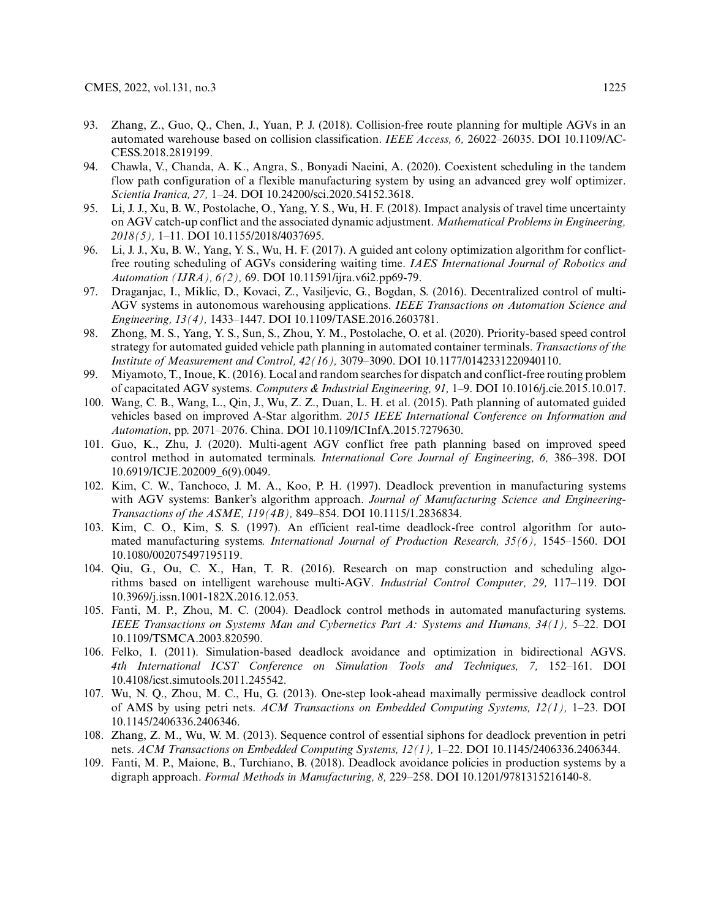- <span id="page-28-0"></span>93. Zhang, Z., Guo, Q., Chen, J., Yuan, P. J. (2018). Collision-free route planning for multiple AGVs in an [automated warehouse based on collision classification.](https://doi.org/10.1109/ACCESS.2018.2819199) *IEEE Access, 6,* 26022–26035. DOI 10.1109/AC-CESS.2018.2819199.
- <span id="page-28-1"></span>94. Chawla, V., Chanda, A. K., Angra, S., Bonyadi Naeini, A. (2020). Coexistent scheduling in the tandem flow path configuration of a flexible manufacturing system by using an advanced grey wolf optimizer. *Scientia Iranica, 27,* 1–24. DOI [10.24200/sci.2020.54152.3618.](https://doi.org/10.24200/sci.2020.54152.3618)
- <span id="page-28-2"></span>95. Li, J. J., Xu, B. W., Postolache, O., Yang, Y. S., Wu, H. F. (2018). Impact analysis of travel time uncertainty on AGV catch-up conflict and the associated dynamic adjustment. *Mathematical Problems in Engineering, 2018(5),* 1–11. DOI [10.1155/2018/4037695.](https://doi.org/10.1155/2018/4037695)
- <span id="page-28-3"></span>96. Li, J. J., Xu, B. W., Yang, Y. S., Wu, H. F. (2017). A guided ant colony optimization algorithm for conflictfree routing scheduling of AGVs considering waiting time. *IAES International Journal of Robotics and Automation (IJRA), 6(2),* 69. DOI [10.11591/ijra.v6i2.pp69-79.](https://doi.org/10.11591/ijra.v6i2.pp69-79)
- <span id="page-28-4"></span>97. Draganjac, I., Miklic, D., Kovaci, Z., Vasiljevic, G., Bogdan, S. (2016). Decentralized control of multi-AGV systems in autonomous warehousing applications. *IEEE Transactions on Automation Science and Engineering, 13(4),* 1433–1447. DOI [10.1109/TASE.2016.2603781.](https://doi.org/10.1109/TASE.2016.2603781)
- <span id="page-28-5"></span>98. Zhong, M. S., Yang, Y. S., Sun, S., Zhou, Y. M., Postolache, O. et al. (2020). Priority-based speed control strategy for automated guided vehicle path planning in automated container terminals. *Transactions of the Institute of Measurement and Control, 42(16),* 3079–3090. DOI [10.1177/0142331220940110.](https://doi.org/10.1177/0142331220940110)
- <span id="page-28-6"></span>99. Miyamoto, T., Inoue, K. (2016). Local and random searches for dispatch and conflict-free routing problem of capacitated AGV systems. *Computers & Industrial Engineering, 91,* 1–9. DOI [10.1016/j.cie.2015.10.017.](https://doi.org/10.1016/j.cie.2015.10.017)
- <span id="page-28-7"></span>100. Wang, C. B., Wang, L., Qin, J., Wu, Z. Z., Duan, L. H. et al. (2015). Path planning of automated guided vehicles based on improved A-Star algorithm. *2015 IEEE International Conference on Information and Automation*, pp. 2071–2076. China. DOI [10.1109/ICInfA.2015.7279630.](https://doi.org/10.1109/ICInfA.2015.7279630)
- <span id="page-28-8"></span>101. Guo, K., Zhu, J. (2020). Multi-agent AGV conflict free path planning based on improved speed control method in automated terminals. *International Core Journal of Engineering, 6,* 386–398. DOI [10.6919/ICJE.202009\\_6\(9\).0049.](https://doi.org/10.6919/ICJE.202009_6(9).0049)
- <span id="page-28-9"></span>102. Kim, C. W., Tanchoco, J. M. A., Koo, P. H. (1997). Deadlock prevention in manufacturing systems with AGV systems: Banker's algorithm approach. *Journal of Manufacturing Science and Engineering-Transactions of the ASME, 119(4B),* 849–854. DOI [10.1115/1.2836834.](https://doi.org/10.1115/1.2836834)
- <span id="page-28-10"></span>103. Kim, C. O., Kim, S. S. (1997). An efficient real-time deadlock-free control algorithm for automated manufacturing systems. *International Journal of Production Research, 35(6),* 1545–1560. DOI [10.1080/002075497195119.](https://doi.org/10.1080/002075497195119)
- <span id="page-28-11"></span>104. Qiu, G., Ou, C. X., Han, T. R. (2016). Research on map construction and scheduling algorithms based on intelligent warehouse multi-AGV. *Industrial Control Computer, 29,* 117–119. DOI [10.3969/j.issn.1001-182X.2016.12.053.](https://doi.org/10.3969/j.issn.1001-182X.2016.12.053)
- <span id="page-28-12"></span>105. Fanti, M. P., Zhou, M. C. (2004). Deadlock control methods in automated manufacturing systems. *IEEE Transactions on Systems Man and Cybernetics Part A: Systems and Humans, 34(1),* 5–22. DOI [10.1109/TSMCA.2003.820590.](https://doi.org/10.1109/TSMCA.2003.820590)
- <span id="page-28-13"></span>106. Felko, I. (2011). Simulation-based deadlock avoidance and optimization in bidirectional AGVS. *4th International ICST Conference on Simulation Tools and Techniques, 7,* 152–161. DOI [10.4108/icst.simutools.2011.245542.](https://doi.org/10.4108/icst.simutools.2011.245542)
- <span id="page-28-14"></span>107. Wu, N. Q., Zhou, M. C., Hu, G. (2013). One-step look-ahead maximally permissive deadlock control of AMS by using petri nets. *ACM Transactions on Embedded Computing Systems, 12(1),* 1–23. DOI [10.1145/2406336.2406346.](https://doi.org/10.1145/2406336.2406346)
- <span id="page-28-15"></span>108. Zhang, Z. M., Wu, W. M. (2013). Sequence control of essential siphons for deadlock prevention in petri nets. *ACM Transactions on Embedded Computing Systems, 12(1),* 1–22. DOI [10.1145/2406336.2406344.](https://doi.org/10.1145/2406336.2406344)
- <span id="page-28-16"></span>109. Fanti, M. P., Maione, B., Turchiano, B. (2018). Deadlock avoidance policies in production systems by a digraph approach. *Formal Methods in Manufacturing, 8,* 229–258. DOI [10.1201/9781315216140-8.](https://doi.org/10.1201/9781315216140-8)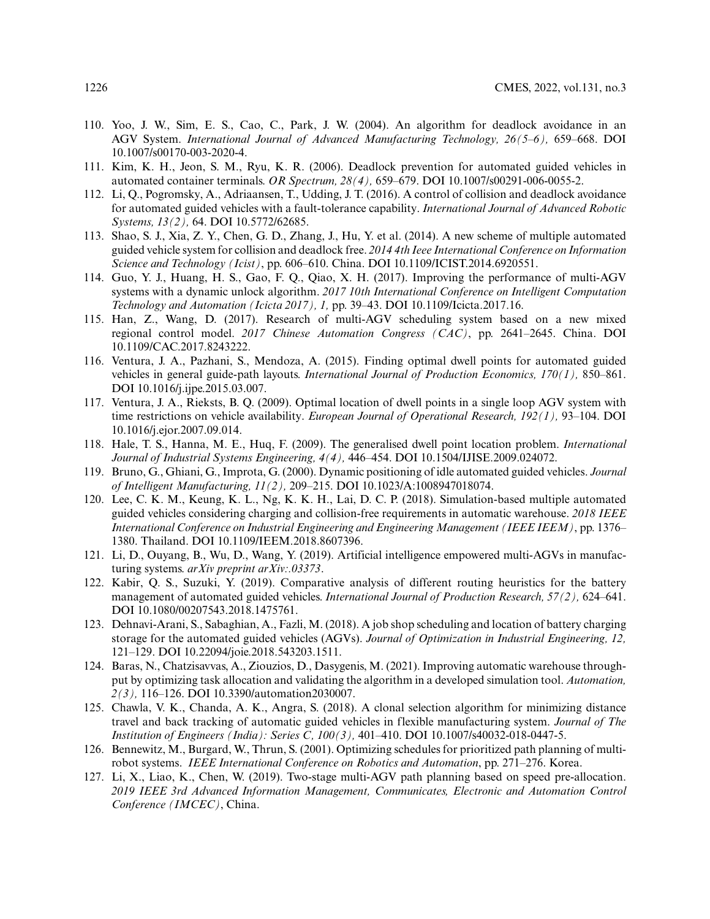- <span id="page-29-0"></span>110. Yoo, J. W., Sim, E. S., Cao, C., Park, J. W. (2004). An algorithm for deadlock avoidance in an AGV System. *International Journal of Advanced Manufacturing Technology, 26(5–6),* 659–668. DOI [10.1007/s00170-003-2020-4.](https://doi.org/10.1007/s00170-003-2020-4)
- <span id="page-29-1"></span>111. Kim, K. H., Jeon, S. M., Ryu, K. R. (2006). Deadlock prevention for automated guided vehicles in automated container terminals. *OR Spectrum, 28(4),* 659–679. DOI [10.1007/s00291-006-0055-2.](https://doi.org/10.1007/s00291-006-0055-2)
- <span id="page-29-2"></span>112. Li, Q., Pogromsky, A., Adriaansen, T., Udding, J. T. (2016). A control of collision and deadlock avoidance for automated guided vehicles with a fault-tolerance capability. *International Journal of Advanced Robotic Systems, 13(2),* 64. DOI [10.5772/62685.](https://doi.org/10.5772/62685)
- <span id="page-29-3"></span>113. Shao, S. J., Xia, Z. Y., Chen, G. D., Zhang, J., Hu, Y. et al. (2014). A new scheme of multiple automated guided vehicle system for collision and deadlock free. *2014 4th Ieee International Conference on Information Science and Technology (Icist)*, pp. 606–610. China. DOI [10.1109/ICIST.2014.6920551.](https://doi.org/10.1109/ICIST.2014.6920551)
- <span id="page-29-4"></span>114. Guo, Y. J., Huang, H. S., Gao, F. Q., Qiao, X. H. (2017). Improving the performance of multi-AGV systems with a dynamic unlock algorithm. *2017 10th International Conference on Intelligent Computation Technology and Automation (Icicta 2017), 1,* pp. 39–43. DOI [10.1109/Icicta.2017.16.](https://doi.org/10.1109/Icicta.2017.16)
- <span id="page-29-5"></span>115. Han, Z., Wang, D. (2017). Research of multi-AGV scheduling system based on a new mixed regional control model. *[2017 Chinese Automation Congress \(CAC\)](https://doi.org/. \ignorespaces DOI \ignorespaces 10.1109/CAC.2017.8243222.)*, pp. 2641–2645. China. DOI 10.1109/CAC.2017.8243222.
- <span id="page-29-6"></span>116. Ventura, J. A., Pazhani, S., Mendoza, A. (2015). Finding optimal dwell points for automated guided vehicles in general guide-path layouts. *International Journal of Production Economics, 170(1),* 850–861. DOI [10.1016/j.ijpe.2015.03.007.](https://doi.org/10.1016/j.ijpe.2015.03.007)
- <span id="page-29-7"></span>117. Ventura, J. A., Rieksts, B. Q. (2009). Optimal location of dwell points in a single loop AGV system with time restrictions on vehicle availability. *European Journal of Operational Research, 192(1),* 93–104. DOI [10.1016/j.ejor.2007.09.014.](https://doi.org/10.1016/j.ejor.2007.09.014)
- <span id="page-29-8"></span>118. Hale, T. S., Hanna, M. E., Huq, F. (2009). The generalised dwell point location problem. *International Journal of Industrial Systems Engineering, 4(4),* 446–454. DOI [10.1504/IJISE.2009.024072.](https://doi.org/10.1504/IJISE.2009.024072)
- <span id="page-29-9"></span>119. Bruno, G., Ghiani, G., Improta, G. (2000). Dynamic positioning of idle automated guided vehicles. *Journal of Intelligent Manufacturing, 11(2),* 209–215. DOI [10.1023/A:1008947018074.](https://doi.org/10.1023/A:1008947018074)
- <span id="page-29-10"></span>120. Lee, C. K. M., Keung, K. L., Ng, K. K. H., Lai, D. C. P. (2018). Simulation-based multiple automated guided vehicles considering charging and collision-free requirements in automatic warehouse. *2018 IEEE International Conference on Industrial Engineering and Engineering Management (IEEE IEEM)*, pp. 1376– 1380. Thailand. DOI [10.1109/IEEM.2018.8607396.](https://doi.org/10.1109/IEEM.2018.8607396)
- <span id="page-29-11"></span>121. Li, D., Ouyang, B., Wu, D., Wang, Y. (2019). Artificial intelligence empowered multi-AGVs in manufacturing systems. *arXiv preprint arXiv:.03373*.
- <span id="page-29-12"></span>122. Kabir, Q. S., Suzuki, Y. (2019). Comparative analysis of different routing heuristics for the battery management of automated guided vehicles. *International Journal of Production Research, 57(2),* 624–641. DOI [10.1080/00207543.2018.1475761.](https://doi.org/10.1080/00207543.2018.1475761)
- <span id="page-29-13"></span>123. Dehnavi-Arani, S., Sabaghian, A., Fazli, M. (2018). A job shop scheduling and location of battery charging storage for the automated guided vehicles (AGVs). *Journal of Optimization in Industrial Engineering, 12,* 121–129. DOI [10.22094/joie.2018.543203.1511.](https://doi.org/10.22094/joie.2018.543203.1511)
- <span id="page-29-14"></span>124. Baras, N., Chatzisavvas, A., Ziouzios, D., Dasygenis, M. (2021). Improving automatic warehouse throughput by optimizing task allocation and validating the algorithm in a developed simulation tool. *Automation, 2(3),* 116–126. DOI [10.3390/automation2030007.](https://doi.org/10.3390/automation2030007)
- <span id="page-29-15"></span>125. Chawla, V. K., Chanda, A. K., Angra, S. (2018). A clonal selection algorithm for minimizing distance travel and back tracking of automatic guided vehicles in flexible manufacturing system. *Journal of The Institution of Engineers (India): Series C, 100(3),* 401–410. DOI [10.1007/s40032-018-0447-5.](https://doi.org/10.1007/s40032-018-0447-5)
- <span id="page-29-16"></span>126. Bennewitz, M., Burgard, W., Thrun, S. (2001). Optimizing schedules for prioritized path planning of multirobot systems. *IEEE International Conference on Robotics and Automation*, pp. 271–276. Korea.
- <span id="page-29-17"></span>127. Li, X., Liao, K., Chen, W. (2019). Two-stage multi-AGV path planning based on speed pre-allocation. *2019 IEEE 3rd Advanced Information Management, Communicates, Electronic and Automation Control Conference (IMCEC)*, China.